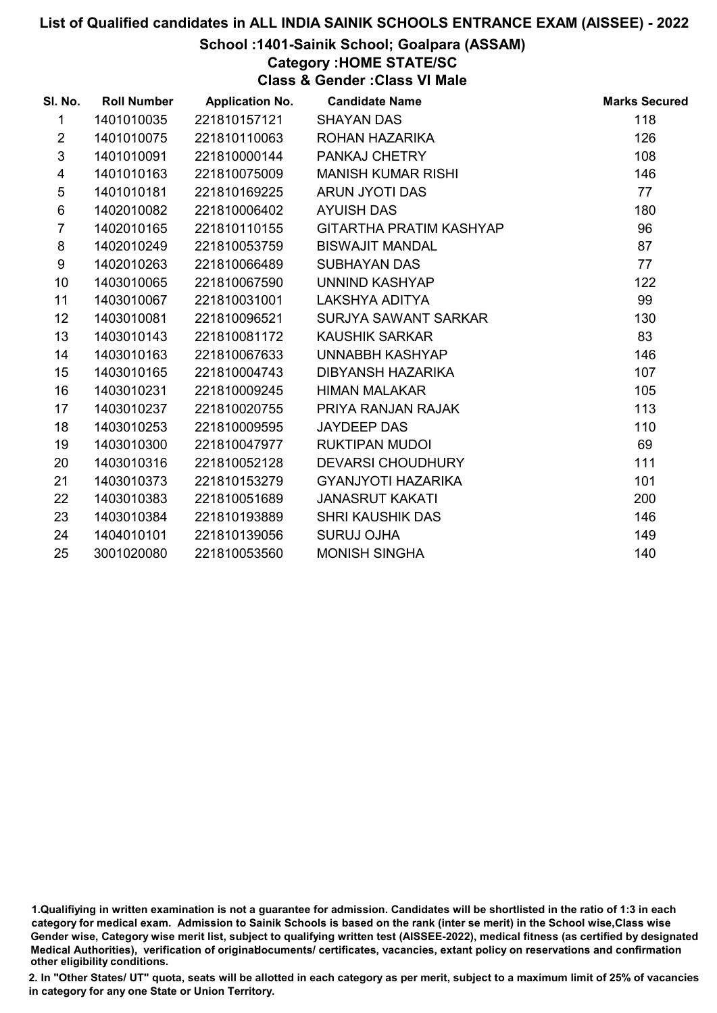### School :1401-Sainik School; Goalpara (ASSAM)

### Category :HOME STATE/SC

Class & Gender :Class VI Male

| SI. No.                 | <b>Roll Number</b> | <b>Application No.</b> | <b>Candidate Name</b>     | <b>Marks Secured</b> |
|-------------------------|--------------------|------------------------|---------------------------|----------------------|
| $\mathbf{1}$            | 1401010035         | 221810157121           | <b>SHAYAN DAS</b>         | 118                  |
| $\overline{2}$          | 1401010075         | 221810110063           | ROHAN HAZARIKA            | 126                  |
| 3                       | 1401010091         | 221810000144           | <b>PANKAJ CHETRY</b>      | 108                  |
| $\overline{\mathbf{4}}$ | 1401010163         | 221810075009           | <b>MANISH KUMAR RISHI</b> | 146                  |
| 5                       | 1401010181         | 221810169225           | ARUN JYOTI DAS            | 77                   |
| 6                       | 1402010082         | 221810006402           | <b>AYUISH DAS</b>         | 180                  |
| $\overline{7}$          | 1402010165         | 221810110155           | GITARTHA PRATIM KASHYAP   | 96                   |
| 8                       | 1402010249         | 221810053759           | <b>BISWAJIT MANDAL</b>    | 87                   |
| 9                       | 1402010263         | 221810066489           | <b>SUBHAYAN DAS</b>       | 77                   |
| 10                      | 1403010065         | 221810067590           | UNNIND KASHYAP            | 122                  |
| 11                      | 1403010067         | 221810031001           | <b>LAKSHYA ADITYA</b>     | 99                   |
| 12                      | 1403010081         | 221810096521           | SURJYA SAWANT SARKAR      | 130                  |
| 13                      | 1403010143         | 221810081172           | <b>KAUSHIK SARKAR</b>     | 83                   |
| 14                      | 1403010163         | 221810067633           | UNNABBH KASHYAP           | 146                  |
| 15                      | 1403010165         | 221810004743           | DIBYANSH HAZARIKA         | 107                  |
| 16                      | 1403010231         | 221810009245           | <b>HIMAN MALAKAR</b>      | 105                  |
| 17                      | 1403010237         | 221810020755           | PRIYA RANJAN RAJAK        | 113                  |
| 18                      | 1403010253         | 221810009595           | <b>JAYDEEP DAS</b>        | 110                  |
| 19                      | 1403010300         | 221810047977           | <b>RUKTIPAN MUDOI</b>     | 69                   |
| 20                      | 1403010316         | 221810052128           | <b>DEVARSI CHOUDHURY</b>  | 111                  |
| 21                      | 1403010373         | 221810153279           | <b>GYANJYOTI HAZARIKA</b> | 101                  |
| 22                      | 1403010383         | 221810051689           | <b>JANASRUT KAKATI</b>    | 200                  |
| 23                      | 1403010384         | 221810193889           | <b>SHRI KAUSHIK DAS</b>   | 146                  |
| 24                      | 1404010101         | 221810139056           | <b>SURUJ OJHA</b>         | 149                  |
| 25                      | 3001020080         | 221810053560           | <b>MONISH SINGHA</b>      | 140                  |

<sup>1.</sup>Qualifiying in written examination is not a guarantee for admission. Candidates will be shortlisted in the ratio of 1:3 in each category for medical exam. Admission to Sainik Schools is based on the rank (inter se merit) in the School wise,Class wise Gender wise, Category wise merit list, subject to qualifying written test (AISSEE-2022), medical fitness (as certified by designated Medical Authorities), verification of originablocuments/ certificates, vacancies, extant policy on reservations and confirmation other eligibility conditions.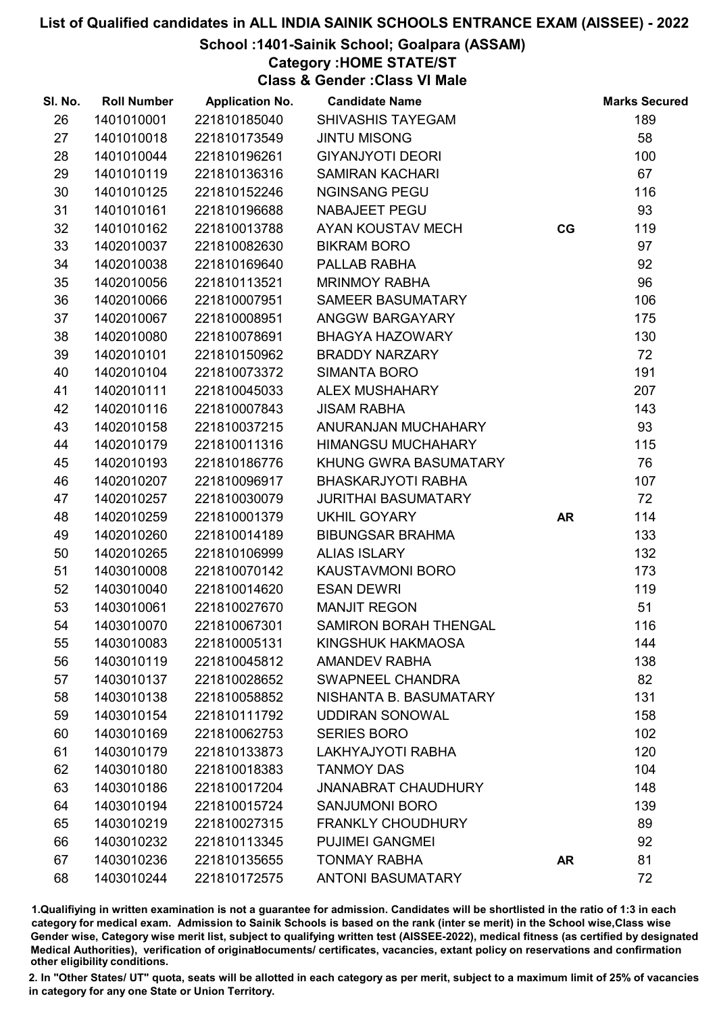### School :1401-Sainik School; Goalpara (ASSAM)

Category :HOME STATE/ST

Class & Gender :Class VI Male

| SI. No. | <b>Roll Number</b> | <b>Application No.</b> | <b>Candidate Name</b>        |           | <b>Marks Secured</b> |
|---------|--------------------|------------------------|------------------------------|-----------|----------------------|
| 26      | 1401010001         | 221810185040           | <b>SHIVASHIS TAYEGAM</b>     |           | 189                  |
| 27      | 1401010018         | 221810173549           | <b>JINTU MISONG</b>          |           | 58                   |
| 28      | 1401010044         | 221810196261           | <b>GIYANJYOTI DEORI</b>      |           | 100                  |
| 29      | 1401010119         | 221810136316           | <b>SAMIRAN KACHARI</b>       |           | 67                   |
| 30      | 1401010125         | 221810152246           | <b>NGINSANG PEGU</b>         |           | 116                  |
| 31      | 1401010161         | 221810196688           | NABAJEET PEGU                |           | 93                   |
| 32      | 1401010162         | 221810013788           | AYAN KOUSTAV MECH            | CG        | 119                  |
| 33      | 1402010037         | 221810082630           | <b>BIKRAM BORO</b>           |           | 97                   |
| 34      | 1402010038         | 221810169640           | PALLAB RABHA                 |           | 92                   |
| 35      | 1402010056         | 221810113521           | <b>MRINMOY RABHA</b>         |           | 96                   |
| 36      | 1402010066         | 221810007951           | SAMEER BASUMATARY            |           | 106                  |
| 37      | 1402010067         | 221810008951           | ANGGW BARGAYARY              |           | 175                  |
| 38      | 1402010080         | 221810078691           | <b>BHAGYA HAZOWARY</b>       |           | 130                  |
| 39      | 1402010101         | 221810150962           | <b>BRADDY NARZARY</b>        |           | 72                   |
| 40      | 1402010104         | 221810073372           | <b>SIMANTA BORO</b>          |           | 191                  |
| 41      | 1402010111         | 221810045033           | <b>ALEX MUSHAHARY</b>        |           | 207                  |
| 42      | 1402010116         | 221810007843           | <b>JISAM RABHA</b>           |           | 143                  |
| 43      | 1402010158         | 221810037215           | ANURANJAN MUCHAHARY          |           | 93                   |
| 44      | 1402010179         | 221810011316           | <b>HIMANGSU MUCHAHARY</b>    |           | 115                  |
| 45      | 1402010193         | 221810186776           | KHUNG GWRA BASUMATARY        |           | 76                   |
| 46      | 1402010207         | 221810096917           | <b>BHASKARJYOTI RABHA</b>    |           | 107                  |
| 47      | 1402010257         | 221810030079           | <b>JURITHAI BASUMATARY</b>   |           | 72                   |
| 48      | 1402010259         | 221810001379           | <b>UKHIL GOYARY</b>          | <b>AR</b> | 114                  |
| 49      | 1402010260         | 221810014189           | <b>BIBUNGSAR BRAHMA</b>      |           | 133                  |
| 50      | 1402010265         | 221810106999           | <b>ALIAS ISLARY</b>          |           | 132                  |
| 51      | 1403010008         | 221810070142           | KAUSTAVMONI BORO             |           | 173                  |
| 52      | 1403010040         | 221810014620           | <b>ESAN DEWRI</b>            |           | 119                  |
| 53      | 1403010061         | 221810027670           | <b>MANJIT REGON</b>          |           | 51                   |
| 54      | 1403010070         | 221810067301           | <b>SAMIRON BORAH THENGAL</b> |           | 116                  |
| 55      | 1403010083         | 221810005131           | KINGSHUK HAKMAOSA            |           | 144                  |
| 56      | 1403010119         | 221810045812           | <b>AMANDEV RABHA</b>         |           | 138                  |
| 57      | 1403010137         | 221810028652           | <b>SWAPNEEL CHANDRA</b>      |           | 82                   |
| 58      | 1403010138         | 221810058852           | NISHANTA B. BASUMATARY       |           | 131                  |
| 59      | 1403010154         | 221810111792           | <b>UDDIRAN SONOWAL</b>       |           | 158                  |
| 60      | 1403010169         | 221810062753           | <b>SERIES BORO</b>           |           | 102                  |
| 61      | 1403010179         | 221810133873           | LAKHYAJYOTI RABHA            |           | 120                  |
| 62      | 1403010180         | 221810018383           | <b>TANMOY DAS</b>            |           | 104                  |
| 63      | 1403010186         | 221810017204           | <b>JNANABRAT CHAUDHURY</b>   |           | 148                  |
| 64      | 1403010194         | 221810015724           | <b>SANJUMONI BORO</b>        |           | 139                  |
| 65      | 1403010219         | 221810027315           | <b>FRANKLY CHOUDHURY</b>     |           | 89                   |
| 66      | 1403010232         | 221810113345           | <b>PUJIMEI GANGMEI</b>       |           | 92                   |
| 67      | 1403010236         | 221810135655           | <b>TONMAY RABHA</b>          | <b>AR</b> | 81                   |
| 68      | 1403010244         | 221810172575           | <b>ANTONI BASUMATARY</b>     |           | 72                   |

1.Qualifiying in written examination is not a guarantee for admission. Candidates will be shortlisted in the ratio of 1:3 in each category for medical exam. Admission to Sainik Schools is based on the rank (inter se merit) in the School wise,Class wise Gender wise, Category wise merit list, subject to qualifying written test (AISSEE-2022), medical fitness (as certified by designated Medical Authorities), verification of originablocuments/ certificates, vacancies, extant policy on reservations and confirmation other eligibility conditions.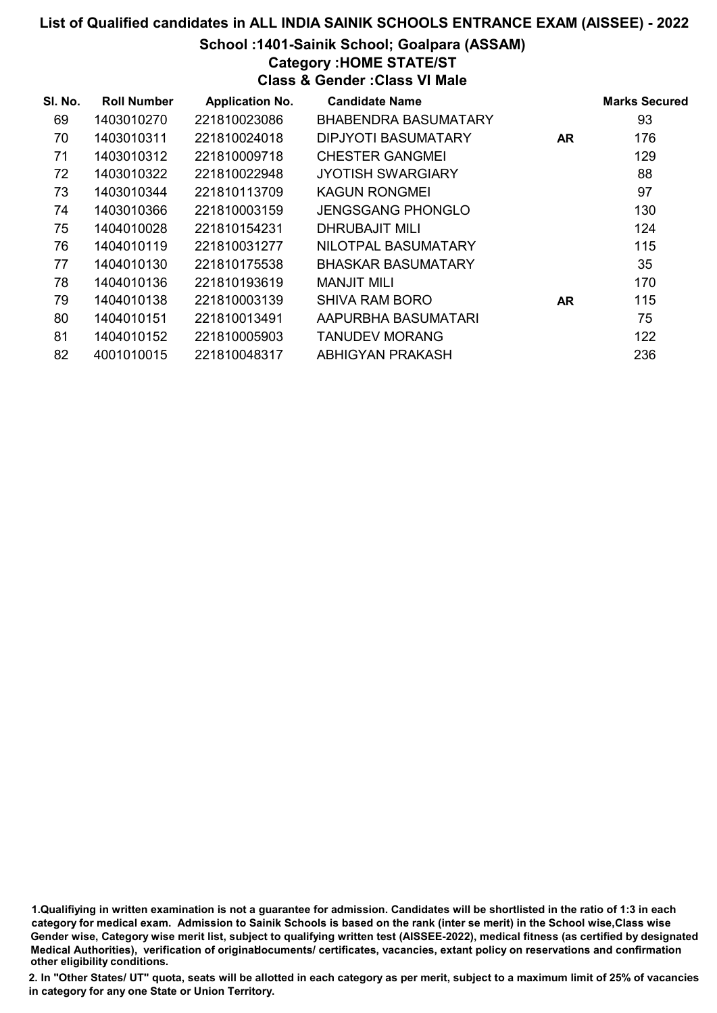### School :1401-Sainik School; Goalpara (ASSAM)

Category :HOME STATE/ST

Class & Gender :Class VI Male

| SI. No. | <b>Roll Number</b> | <b>Application No.</b> | <b>Candidate Name</b>       |           | <b>Marks Secured</b> |
|---------|--------------------|------------------------|-----------------------------|-----------|----------------------|
| 69      | 1403010270         | 221810023086           | <b>BHABENDRA BASUMATARY</b> |           | 93                   |
| 70      | 1403010311         | 221810024018           | DIPJYOTI BASUMATARY         | <b>AR</b> | 176                  |
| 71      | 1403010312         | 221810009718           | <b>CHESTER GANGMEI</b>      |           | 129                  |
| 72      | 1403010322         | 221810022948           | <b>JYOTISH SWARGIARY</b>    |           | 88                   |
| 73      | 1403010344         | 221810113709           | <b>KAGUN RONGMEI</b>        |           | 97                   |
| 74      | 1403010366         | 221810003159           | <b>JENGSGANG PHONGLO</b>    |           | 130                  |
| 75      | 1404010028         | 221810154231           | DHRUBAJIT MILI              |           | 124                  |
| 76      | 1404010119         | 221810031277           | NILOTPAL BASUMATARY         |           | 115                  |
| 77      | 1404010130         | 221810175538           | <b>BHASKAR BASUMATARY</b>   |           | 35                   |
| 78      | 1404010136         | 221810193619           | <b>MANJIT MILI</b>          |           | 170                  |
| 79      | 1404010138         | 221810003139           | <b>SHIVA RAM BORO</b>       | <b>AR</b> | 115                  |
| 80      | 1404010151         | 221810013491           | AAPURBHA BASUMATARI         |           | 75                   |
| 81      | 1404010152         | 221810005903           | <b>TANUDEV MORANG</b>       |           | 122                  |
| 82      | 4001010015         | 221810048317           | ABHIGYAN PRAKASH            |           | 236                  |

1.Qualifiying in written examination is not a guarantee for admission. Candidates will be shortlisted in the ratio of 1:3 in each category for medical exam. Admission to Sainik Schools is based on the rank (inter se merit) in the School wise,Class wise Gender wise, Category wise merit list, subject to qualifying written test (AISSEE-2022), medical fitness (as certified by designated Medical Authorities), verification of originablocuments/ certificates, vacancies, extant policy on reservations and confirmation other eligibility conditions.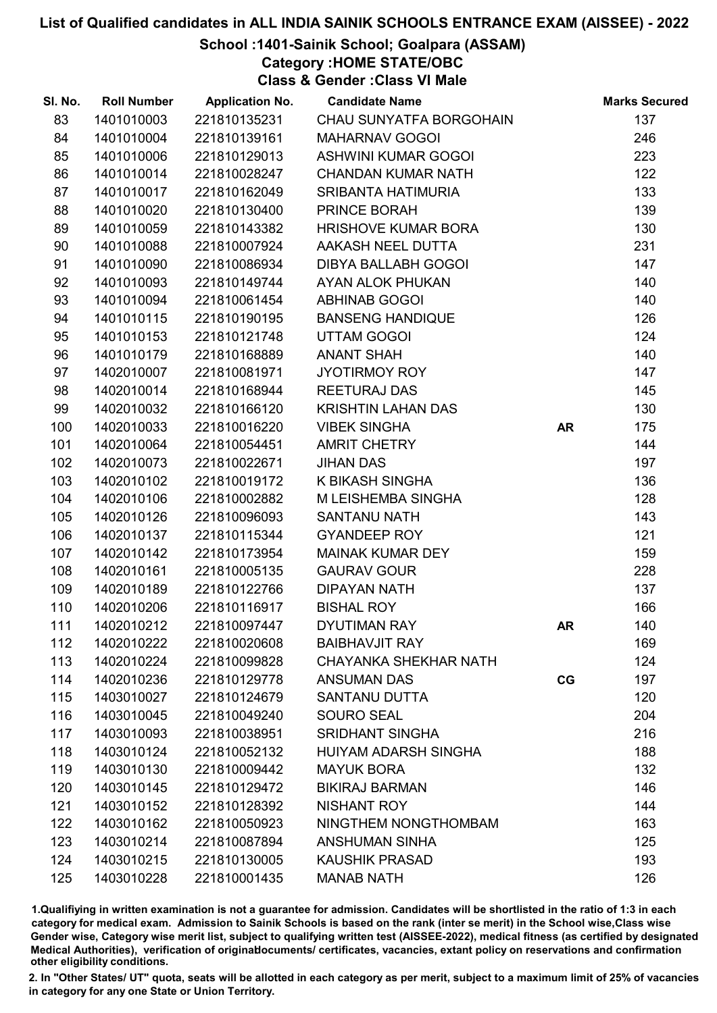### School :1401-Sainik School; Goalpara (ASSAM)

Category :HOME STATE/OBC

Class & Gender :Class VI Male

| SI. No. | <b>Roll Number</b> | <b>Application No.</b> | <b>Candidate Name</b>        |           | <b>Marks Secured</b> |
|---------|--------------------|------------------------|------------------------------|-----------|----------------------|
| 83      | 1401010003         | 221810135231           | CHAU SUNYATFA BORGOHAIN      |           | 137                  |
| 84      | 1401010004         | 221810139161           | <b>MAHARNAV GOGOI</b>        |           | 246                  |
| 85      | 1401010006         | 221810129013           | ASHWINI KUMAR GOGOI          |           | 223                  |
| 86      | 1401010014         | 221810028247           | <b>CHANDAN KUMAR NATH</b>    |           | 122                  |
| 87      | 1401010017         | 221810162049           | SRIBANTA HATIMURIA           |           | 133                  |
| 88      | 1401010020         | 221810130400           | PRINCE BORAH                 |           | 139                  |
| 89      | 1401010059         | 221810143382           | <b>HRISHOVE KUMAR BORA</b>   |           | 130                  |
| 90      | 1401010088         | 221810007924           | AAKASH NEEL DUTTA            |           | 231                  |
| 91      | 1401010090         | 221810086934           | DIBYA BALLABH GOGOI          |           | 147                  |
| 92      | 1401010093         | 221810149744           | AYAN ALOK PHUKAN             |           | 140                  |
| 93      | 1401010094         | 221810061454           | <b>ABHINAB GOGOI</b>         |           | 140                  |
| 94      | 1401010115         | 221810190195           | <b>BANSENG HANDIQUE</b>      |           | 126                  |
| 95      | 1401010153         | 221810121748           | UTTAM GOGOI                  |           | 124                  |
| 96      | 1401010179         | 221810168889           | <b>ANANT SHAH</b>            |           | 140                  |
| 97      | 1402010007         | 221810081971           | <b>JYOTIRMOY ROY</b>         |           | 147                  |
| 98      | 1402010014         | 221810168944           | REETURAJ DAS                 |           | 145                  |
| 99      | 1402010032         | 221810166120           | <b>KRISHTIN LAHAN DAS</b>    |           | 130                  |
| 100     | 1402010033         | 221810016220           | <b>VIBEK SINGHA</b>          | <b>AR</b> | 175                  |
| 101     | 1402010064         | 221810054451           | <b>AMRIT CHETRY</b>          |           | 144                  |
| 102     | 1402010073         | 221810022671           | <b>JIHAN DAS</b>             |           | 197                  |
| 103     | 1402010102         | 221810019172           | K BIKASH SINGHA              |           | 136                  |
| 104     | 1402010106         | 221810002882           | M LEISHEMBA SINGHA           |           | 128                  |
| 105     | 1402010126         | 221810096093           | <b>SANTANU NATH</b>          |           | 143                  |
| 106     | 1402010137         | 221810115344           | <b>GYANDEEP ROY</b>          |           | 121                  |
| 107     | 1402010142         | 221810173954           | <b>MAINAK KUMAR DEY</b>      |           | 159                  |
| 108     | 1402010161         | 221810005135           | <b>GAURAV GOUR</b>           |           | 228                  |
| 109     | 1402010189         | 221810122766           | <b>DIPAYAN NATH</b>          |           | 137                  |
| 110     | 1402010206         | 221810116917           | <b>BISHAL ROY</b>            |           | 166                  |
| 111     | 1402010212         | 221810097447           | <b>DYUTIMAN RAY</b>          | AR        | 140                  |
| 112     | 1402010222         | 221810020608           | <b>BAIBHAVJIT RAY</b>        |           | 169                  |
| 113     | 1402010224         | 221810099828           | <b>CHAYANKA SHEKHAR NATH</b> |           | 124                  |
| 114     | 1402010236         | 221810129778           | <b>ANSUMAN DAS</b>           | CG        | 197                  |
| 115     | 1403010027         | 221810124679           | <b>SANTANU DUTTA</b>         |           | 120                  |
| 116     | 1403010045         | 221810049240           | <b>SOURO SEAL</b>            |           | 204                  |
| 117     | 1403010093         | 221810038951           | <b>SRIDHANT SINGHA</b>       |           | 216                  |
| 118     | 1403010124         | 221810052132           | <b>HUIYAM ADARSH SINGHA</b>  |           | 188                  |
| 119     | 1403010130         | 221810009442           | <b>MAYUK BORA</b>            |           | 132                  |
| 120     | 1403010145         | 221810129472           | <b>BIKIRAJ BARMAN</b>        |           | 146                  |
| 121     | 1403010152         | 221810128392           | <b>NISHANT ROY</b>           |           | 144                  |
| 122     | 1403010162         | 221810050923           | NINGTHEM NONGTHOMBAM         |           | 163                  |
| 123     | 1403010214         | 221810087894           | <b>ANSHUMAN SINHA</b>        |           | 125                  |
| 124     | 1403010215         | 221810130005           | <b>KAUSHIK PRASAD</b>        |           | 193                  |
| 125     | 1403010228         | 221810001435           | <b>MANAB NATH</b>            |           | 126                  |

1.Qualifiying in written examination is not a guarantee for admission. Candidates will be shortlisted in the ratio of 1:3 in each category for medical exam. Admission to Sainik Schools is based on the rank (inter se merit) in the School wise,Class wise Gender wise, Category wise merit list, subject to qualifying written test (AISSEE-2022), medical fitness (as certified by designated Medical Authorities), verification of originablocuments/ certificates, vacancies, extant policy on reservations and confirmation other eligibility conditions.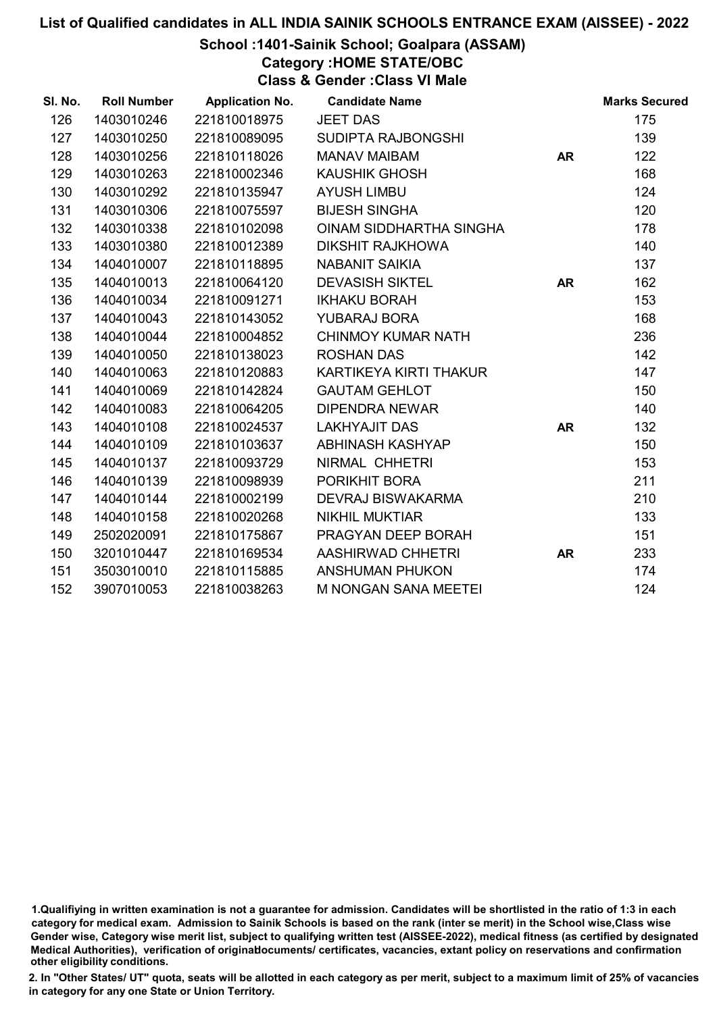### School :1401-Sainik School; Goalpara (ASSAM)

Category :HOME STATE/OBC

Class & Gender :Class VI Male

| SI. No. | <b>Roll Number</b> | <b>Application No.</b> | <b>Candidate Name</b>       |           | <b>Marks Secured</b> |
|---------|--------------------|------------------------|-----------------------------|-----------|----------------------|
| 126     | 1403010246         | 221810018975           | <b>JEET DAS</b>             |           | 175                  |
| 127     | 1403010250         | 221810089095           | SUDIPTA RAJBONGSHI          |           | 139                  |
| 128     | 1403010256         | 221810118026           | <b>MANAV MAIBAM</b>         | <b>AR</b> | 122                  |
| 129     | 1403010263         | 221810002346           | <b>KAUSHIK GHOSH</b>        |           | 168                  |
| 130     | 1403010292         | 221810135947           | <b>AYUSH LIMBU</b>          |           | 124                  |
| 131     | 1403010306         | 221810075597           | <b>BIJESH SINGHA</b>        |           | 120                  |
| 132     | 1403010338         | 221810102098           | OINAM SIDDHARTHA SINGHA     |           | 178                  |
| 133     | 1403010380         | 221810012389           | <b>DIKSHIT RAJKHOWA</b>     |           | 140                  |
| 134     | 1404010007         | 221810118895           | <b>NABANIT SAIKIA</b>       |           | 137                  |
| 135     | 1404010013         | 221810064120           | <b>DEVASISH SIKTEL</b>      | <b>AR</b> | 162                  |
| 136     | 1404010034         | 221810091271           | <b>IKHAKU BORAH</b>         |           | 153                  |
| 137     | 1404010043         | 221810143052           | YUBARAJ BORA                |           | 168                  |
| 138     | 1404010044         | 221810004852           | <b>CHINMOY KUMAR NATH</b>   |           | 236                  |
| 139     | 1404010050         | 221810138023           | <b>ROSHAN DAS</b>           |           | 142                  |
| 140     | 1404010063         | 221810120883           | KARTIKEYA KIRTI THAKUR      |           | 147                  |
| 141     | 1404010069         | 221810142824           | <b>GAUTAM GEHLOT</b>        |           | 150                  |
| 142     | 1404010083         | 221810064205           | <b>DIPENDRA NEWAR</b>       |           | 140                  |
| 143     | 1404010108         | 221810024537           | <b>LAKHYAJIT DAS</b>        | <b>AR</b> | 132                  |
| 144     | 1404010109         | 221810103637           | ABHINASH KASHYAP            |           | 150                  |
| 145     | 1404010137         | 221810093729           | NIRMAL CHHETRI              |           | 153                  |
| 146     | 1404010139         | 221810098939           | PORIKHIT BORA               |           | 211                  |
| 147     | 1404010144         | 221810002199           | <b>DEVRAJ BISWAKARMA</b>    |           | 210                  |
| 148     | 1404010158         | 221810020268           | <b>NIKHIL MUKTIAR</b>       |           | 133                  |
| 149     | 2502020091         | 221810175867           | PRAGYAN DEEP BORAH          |           | 151                  |
| 150     | 3201010447         | 221810169534           | AASHIRWAD CHHETRI           | <b>AR</b> | 233                  |
| 151     | 3503010010         | 221810115885           | <b>ANSHUMAN PHUKON</b>      |           | 174                  |
| 152     | 3907010053         | 221810038263           | <b>M NONGAN SANA MEETEI</b> |           | 124                  |

<sup>1.</sup>Qualifiying in written examination is not a guarantee for admission. Candidates will be shortlisted in the ratio of 1:3 in each category for medical exam. Admission to Sainik Schools is based on the rank (inter se merit) in the School wise,Class wise Gender wise, Category wise merit list, subject to qualifying written test (AISSEE-2022), medical fitness (as certified by designated Medical Authorities), verification of originablocuments/ certificates, vacancies, extant policy on reservations and confirmation other eligibility conditions.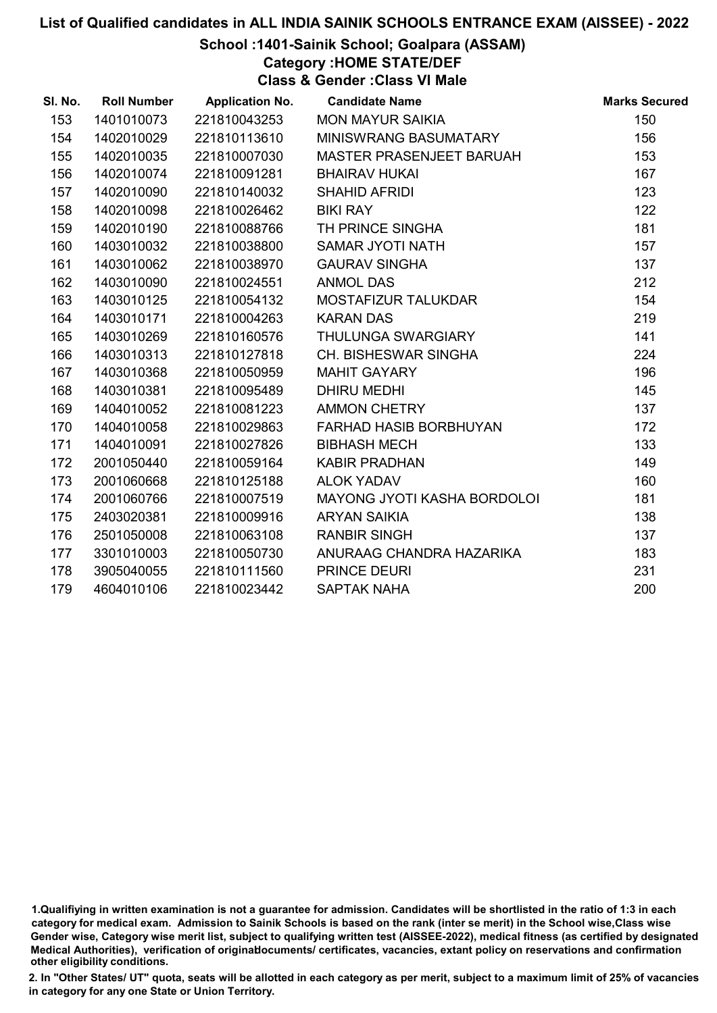### School :1401-Sainik School; Goalpara (ASSAM)

Category :HOME STATE/DEF

Class & Gender :Class VI Male

| SI. No. | <b>Roll Number</b> | <b>Application No.</b> | <b>Candidate Name</b>              | <b>Marks Secured</b> |
|---------|--------------------|------------------------|------------------------------------|----------------------|
| 153     | 1401010073         | 221810043253           | <b>MON MAYUR SAIKIA</b>            | 150                  |
| 154     | 1402010029         | 221810113610           | MINISWRANG BASUMATARY              | 156                  |
| 155     | 1402010035         | 221810007030           | MASTER PRASENJEET BARUAH           | 153                  |
| 156     | 1402010074         | 221810091281           | <b>BHAIRAV HUKAI</b>               | 167                  |
| 157     | 1402010090         | 221810140032           | <b>SHAHID AFRIDI</b>               | 123                  |
| 158     | 1402010098         | 221810026462           | <b>BIKI RAY</b>                    | 122                  |
| 159     | 1402010190         | 221810088766           | TH PRINCE SINGHA                   | 181                  |
| 160     | 1403010032         | 221810038800           | <b>SAMAR JYOTI NATH</b>            | 157                  |
| 161     | 1403010062         | 221810038970           | <b>GAURAV SINGHA</b>               | 137                  |
| 162     | 1403010090         | 221810024551           | <b>ANMOL DAS</b>                   | 212                  |
| 163     | 1403010125         | 221810054132           | MOSTAFIZUR TALUKDAR                | 154                  |
| 164     | 1403010171         | 221810004263           | <b>KARAN DAS</b>                   | 219                  |
| 165     | 1403010269         | 221810160576           | THULUNGA SWARGIARY                 | 141                  |
| 166     | 1403010313         | 221810127818           | CH. BISHESWAR SINGHA               | 224                  |
| 167     | 1403010368         | 221810050959           | <b>MAHIT GAYARY</b>                | 196                  |
| 168     | 1403010381         | 221810095489           | <b>DHIRU MEDHI</b>                 | 145                  |
| 169     | 1404010052         | 221810081223           | <b>AMMON CHETRY</b>                | 137                  |
| 170     | 1404010058         | 221810029863           | <b>FARHAD HASIB BORBHUYAN</b>      | 172                  |
| 171     | 1404010091         | 221810027826           | <b>BIBHASH MECH</b>                | 133                  |
| 172     | 2001050440         | 221810059164           | <b>KABIR PRADHAN</b>               | 149                  |
| 173     | 2001060668         | 221810125188           | <b>ALOK YADAV</b>                  | 160                  |
| 174     | 2001060766         | 221810007519           | <b>MAYONG JYOTI KASHA BORDOLOI</b> | 181                  |
| 175     | 2403020381         | 221810009916           | <b>ARYAN SAIKIA</b>                | 138                  |
| 176     | 2501050008         | 221810063108           | <b>RANBIR SINGH</b>                | 137                  |
| 177     | 3301010003         | 221810050730           | ANURAAG CHANDRA HAZARIKA           | 183                  |
| 178     | 3905040055         | 221810111560           | PRINCE DEURI                       | 231                  |
| 179     | 4604010106         | 221810023442           | <b>SAPTAK NAHA</b>                 | 200                  |

<sup>1.</sup>Qualifiying in written examination is not a guarantee for admission. Candidates will be shortlisted in the ratio of 1:3 in each category for medical exam. Admission to Sainik Schools is based on the rank (inter se merit) in the School wise,Class wise Gender wise, Category wise merit list, subject to qualifying written test (AISSEE-2022), medical fitness (as certified by designated Medical Authorities), verification of originablocuments/ certificates, vacancies, extant policy on reservations and confirmation other eligibility conditions.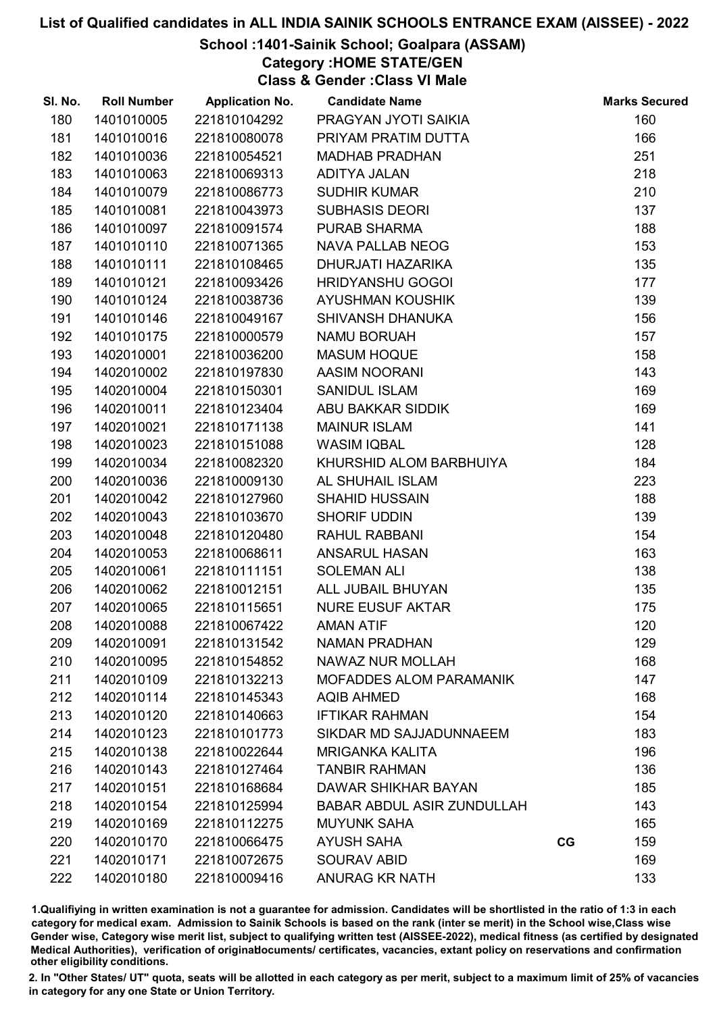### School :1401-Sainik School; Goalpara (ASSAM)

Category :HOME STATE/GEN

Class & Gender :Class VI Male

| SI. No. | <b>Roll Number</b> | <b>Application No.</b> | <b>Candidate Name</b>             |    | <b>Marks Secured</b> |
|---------|--------------------|------------------------|-----------------------------------|----|----------------------|
| 180     | 1401010005         | 221810104292           | PRAGYAN JYOTI SAIKIA              |    | 160                  |
| 181     | 1401010016         | 221810080078           | PRIYAM PRATIM DUTTA               |    | 166                  |
| 182     | 1401010036         | 221810054521           | <b>MADHAB PRADHAN</b>             |    | 251                  |
| 183     | 1401010063         | 221810069313           | <b>ADITYA JALAN</b>               |    | 218                  |
| 184     | 1401010079         | 221810086773           | <b>SUDHIR KUMAR</b>               |    | 210                  |
| 185     | 1401010081         | 221810043973           | <b>SUBHASIS DEORI</b>             |    | 137                  |
| 186     | 1401010097         | 221810091574           | PURAB SHARMA                      |    | 188                  |
| 187     | 1401010110         | 221810071365           | <b>NAVA PALLAB NEOG</b>           |    | 153                  |
| 188     | 1401010111         | 221810108465           | DHURJATI HAZARIKA                 |    | 135                  |
| 189     | 1401010121         | 221810093426           | <b>HRIDYANSHU GOGOI</b>           |    | 177                  |
| 190     | 1401010124         | 221810038736           | <b>AYUSHMAN KOUSHIK</b>           |    | 139                  |
| 191     | 1401010146         | 221810049167           | <b>SHIVANSH DHANUKA</b>           |    | 156                  |
| 192     | 1401010175         | 221810000579           | <b>NAMU BORUAH</b>                |    | 157                  |
| 193     | 1402010001         | 221810036200           | <b>MASUM HOQUE</b>                |    | 158                  |
| 194     | 1402010002         | 221810197830           | AASIM NOORANI                     |    | 143                  |
| 195     | 1402010004         | 221810150301           | <b>SANIDUL ISLAM</b>              |    | 169                  |
| 196     | 1402010011         | 221810123404           | ABU BAKKAR SIDDIK                 |    | 169                  |
| 197     | 1402010021         | 221810171138           | <b>MAINUR ISLAM</b>               |    | 141                  |
| 198     | 1402010023         | 221810151088           | <b>WASIM IQBAL</b>                |    | 128                  |
| 199     | 1402010034         | 221810082320           | KHURSHID ALOM BARBHUIYA           |    | 184                  |
| 200     | 1402010036         | 221810009130           | AL SHUHAIL ISLAM                  |    | 223                  |
| 201     | 1402010042         | 221810127960           | <b>SHAHID HUSSAIN</b>             |    | 188                  |
| 202     | 1402010043         | 221810103670           | <b>SHORIF UDDIN</b>               |    | 139                  |
| 203     | 1402010048         | 221810120480           | RAHUL RABBANI                     |    | 154                  |
| 204     | 1402010053         | 221810068611           | <b>ANSARUL HASAN</b>              |    | 163                  |
| 205     | 1402010061         | 221810111151           | <b>SOLEMAN ALI</b>                |    | 138                  |
| 206     | 1402010062         | 221810012151           | ALL JUBAIL BHUYAN                 |    | 135                  |
| 207     | 1402010065         | 221810115651           | <b>NURE EUSUF AKTAR</b>           |    | 175                  |
| 208     | 1402010088         | 221810067422           | <b>AMAN ATIF</b>                  |    | 120                  |
| 209     | 1402010091         | 221810131542           | <b>NAMAN PRADHAN</b>              |    | 129                  |
| 210     | 1402010095         | 221810154852           | NAWAZ NUR MOLLAH                  |    | 168                  |
| 211     | 1402010109         | 221810132213           | <b>MOFADDES ALOM PARAMANIK</b>    |    | 147                  |
| 212     | 1402010114         | 221810145343           | <b>AQIB AHMED</b>                 |    | 168                  |
| 213     | 1402010120         | 221810140663           | <b>IFTIKAR RAHMAN</b>             |    | 154                  |
| 214     | 1402010123         | 221810101773           | SIKDAR MD SAJJADUNNAEEM           |    | 183                  |
| 215     | 1402010138         | 221810022644           | <b>MRIGANKA KALITA</b>            |    | 196                  |
| 216     | 1402010143         | 221810127464           | <b>TANBIR RAHMAN</b>              |    | 136                  |
| 217     | 1402010151         | 221810168684           | DAWAR SHIKHAR BAYAN               |    | 185                  |
| 218     | 1402010154         | 221810125994           | <b>BABAR ABDUL ASIR ZUNDULLAH</b> |    | 143                  |
| 219     | 1402010169         | 221810112275           | <b>MUYUNK SAHA</b>                |    | 165                  |
| 220     | 1402010170         | 221810066475           | <b>AYUSH SAHA</b>                 | CG | 159                  |
| 221     | 1402010171         | 221810072675           | <b>SOURAV ABID</b>                |    | 169                  |
| 222     | 1402010180         | 221810009416           | <b>ANURAG KR NATH</b>             |    | 133                  |

1.Qualifiying in written examination is not a guarantee for admission. Candidates will be shortlisted in the ratio of 1:3 in each category for medical exam. Admission to Sainik Schools is based on the rank (inter se merit) in the School wise,Class wise Gender wise, Category wise merit list, subject to qualifying written test (AISSEE-2022), medical fitness (as certified by designated Medical Authorities), verification of originablocuments/ certificates, vacancies, extant policy on reservations and confirmation other eligibility conditions.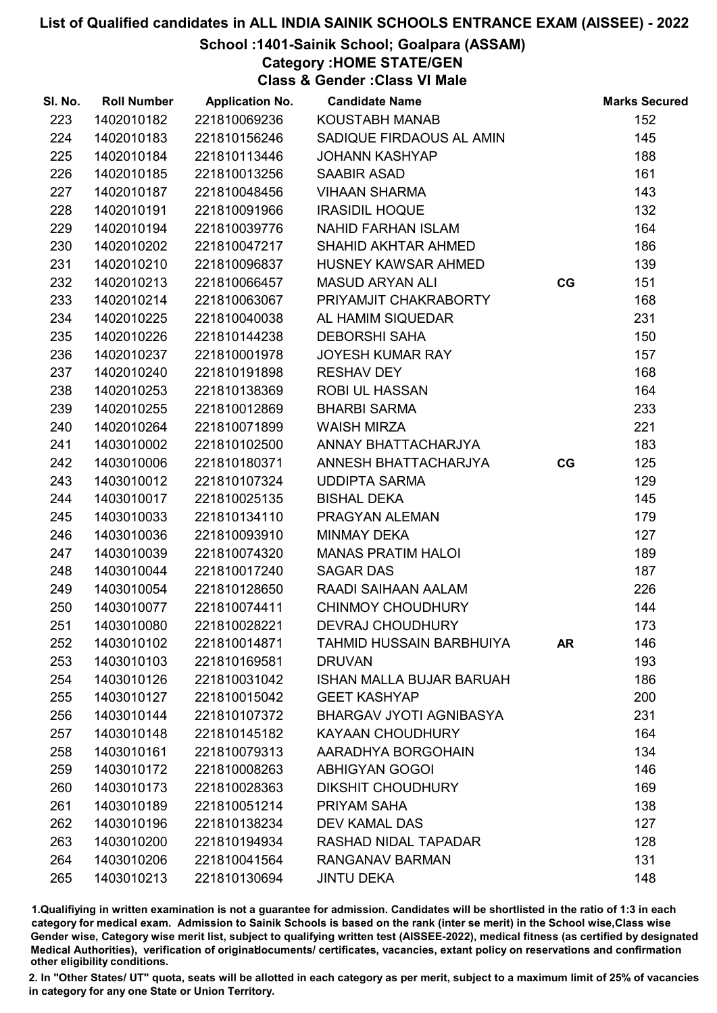### School :1401-Sainik School; Goalpara (ASSAM)

Category :HOME STATE/GEN

Class & Gender :Class VI Male

| SI. No. | <b>Roll Number</b> | <b>Application No.</b> | <b>Candidate Name</b>           |           | <b>Marks Secured</b> |
|---------|--------------------|------------------------|---------------------------------|-----------|----------------------|
| 223     | 1402010182         | 221810069236           | KOUSTABH MANAB                  |           | 152                  |
| 224     | 1402010183         | 221810156246           | SADIQUE FIRDAOUS AL AMIN        |           | 145                  |
| 225     | 1402010184         | 221810113446           | <b>JOHANN KASHYAP</b>           |           | 188                  |
| 226     | 1402010185         | 221810013256           | <b>SAABIR ASAD</b>              |           | 161                  |
| 227     | 1402010187         | 221810048456           | <b>VIHAAN SHARMA</b>            |           | 143                  |
| 228     | 1402010191         | 221810091966           | <b>IRASIDIL HOQUE</b>           |           | 132                  |
| 229     | 1402010194         | 221810039776           | <b>NAHID FARHAN ISLAM</b>       |           | 164                  |
| 230     | 1402010202         | 221810047217           | <b>SHAHID AKHTAR AHMED</b>      |           | 186                  |
| 231     | 1402010210         | 221810096837           | HUSNEY KAWSAR AHMED             |           | 139                  |
| 232     | 1402010213         | 221810066457           | <b>MASUD ARYAN ALI</b>          | CG        | 151                  |
| 233     | 1402010214         | 221810063067           | PRIYAMJIT CHAKRABORTY           |           | 168                  |
| 234     | 1402010225         | 221810040038           | AL HAMIM SIQUEDAR               |           | 231                  |
| 235     | 1402010226         | 221810144238           | <b>DEBORSHI SAHA</b>            |           | 150                  |
| 236     | 1402010237         | 221810001978           | <b>JOYESH KUMAR RAY</b>         |           | 157                  |
| 237     | 1402010240         | 221810191898           | <b>RESHAV DEY</b>               |           | 168                  |
| 238     | 1402010253         | 221810138369           | <b>ROBI UL HASSAN</b>           |           | 164                  |
| 239     | 1402010255         | 221810012869           | <b>BHARBI SARMA</b>             |           | 233                  |
| 240     | 1402010264         | 221810071899           | <b>WAISH MIRZA</b>              |           | 221                  |
| 241     | 1403010002         | 221810102500           | ANNAY BHATTACHARJYA             |           | 183                  |
| 242     | 1403010006         | 221810180371           | ANNESH BHATTACHARJYA            | CG        | 125                  |
| 243     | 1403010012         | 221810107324           | <b>UDDIPTA SARMA</b>            |           | 129                  |
| 244     | 1403010017         | 221810025135           | <b>BISHAL DEKA</b>              |           | 145                  |
| 245     | 1403010033         | 221810134110           | PRAGYAN ALEMAN                  |           | 179                  |
| 246     | 1403010036         | 221810093910           | <b>MINMAY DEKA</b>              |           | 127                  |
| 247     | 1403010039         | 221810074320           | <b>MANAS PRATIM HALOI</b>       |           | 189                  |
| 248     | 1403010044         | 221810017240           | <b>SAGAR DAS</b>                |           | 187                  |
| 249     | 1403010054         | 221810128650           | RAADI SAIHAAN AALAM             |           | 226                  |
| 250     | 1403010077         | 221810074411           | <b>CHINMOY CHOUDHURY</b>        |           | 144                  |
| 251     | 1403010080         | 221810028221           | <b>DEVRAJ CHOUDHURY</b>         |           | 173                  |
| 252     | 1403010102         | 221810014871           | <b>TAHMID HUSSAIN BARBHUIYA</b> | <b>AR</b> | 146                  |
| 253     | 1403010103         | 221810169581           | <b>DRUVAN</b>                   |           | 193                  |
| 254     | 1403010126         | 221810031042           | <b>ISHAN MALLA BUJAR BARUAH</b> |           | 186                  |
| 255     | 1403010127         | 221810015042           | <b>GEET KASHYAP</b>             |           | 200                  |
| 256     | 1403010144         | 221810107372           | <b>BHARGAV JYOTI AGNIBASYA</b>  |           | 231                  |
| 257     | 1403010148         | 221810145182           | <b>KAYAAN CHOUDHURY</b>         |           | 164                  |
| 258     | 1403010161         | 221810079313           | AARADHYA BORGOHAIN              |           | 134                  |
| 259     | 1403010172         | 221810008263           | <b>ABHIGYAN GOGOI</b>           |           | 146                  |
| 260     | 1403010173         | 221810028363           | <b>DIKSHIT CHOUDHURY</b>        |           | 169                  |
| 261     | 1403010189         | 221810051214           | PRIYAM SAHA                     |           | 138                  |
| 262     | 1403010196         | 221810138234           | <b>DEV KAMAL DAS</b>            |           | 127                  |
| 263     | 1403010200         | 221810194934           | RASHAD NIDAL TAPADAR            |           | 128                  |
| 264     | 1403010206         | 221810041564           | RANGANAV BARMAN                 |           | 131                  |
| 265     | 1403010213         | 221810130694           | <b>JINTU DEKA</b>               |           | 148                  |

1.Qualifiying in written examination is not a guarantee for admission. Candidates will be shortlisted in the ratio of 1:3 in each category for medical exam. Admission to Sainik Schools is based on the rank (inter se merit) in the School wise,Class wise Gender wise, Category wise merit list, subject to qualifying written test (AISSEE-2022), medical fitness (as certified by designated Medical Authorities), verification of originablocuments/ certificates, vacancies, extant policy on reservations and confirmation other eligibility conditions.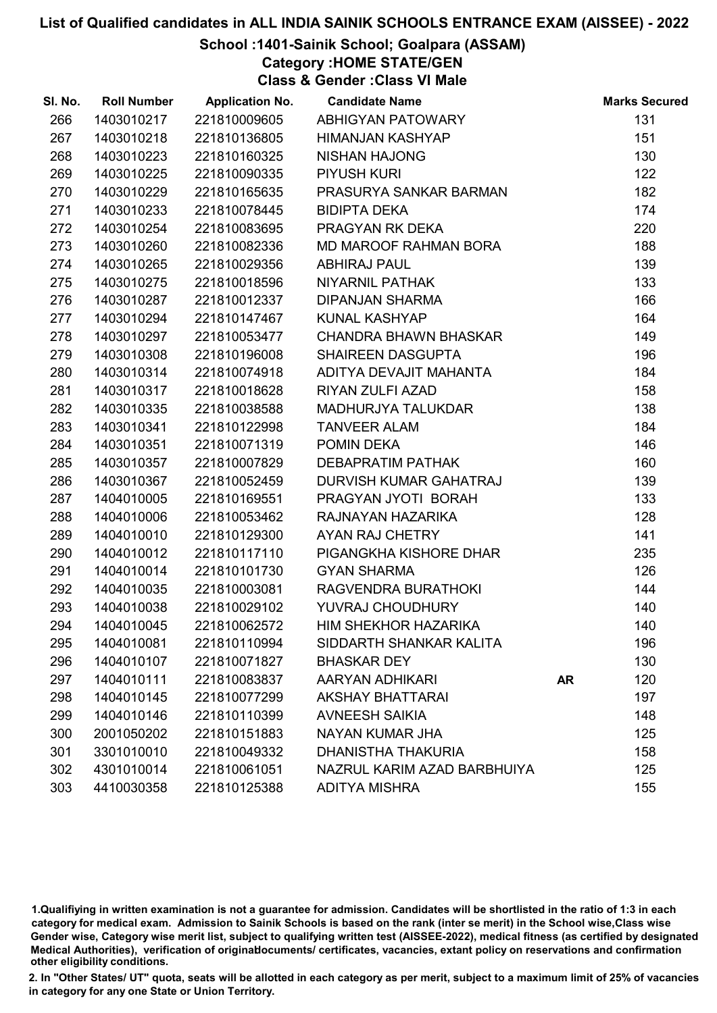### School :1401-Sainik School; Goalpara (ASSAM)

Category :HOME STATE/GEN

Class & Gender :Class VI Male

| SI. No. | <b>Roll Number</b> | <b>Application No.</b> | <b>Candidate Name</b>        |           | <b>Marks Secured</b> |
|---------|--------------------|------------------------|------------------------------|-----------|----------------------|
| 266     | 1403010217         | 221810009605           | ABHIGYAN PATOWARY            |           | 131                  |
| 267     | 1403010218         | 221810136805           | <b>HIMANJAN KASHYAP</b>      |           | 151                  |
| 268     | 1403010223         | 221810160325           | <b>NISHAN HAJONG</b>         |           | 130                  |
| 269     | 1403010225         | 221810090335           | <b>PIYUSH KURI</b>           |           | 122                  |
| 270     | 1403010229         | 221810165635           | PRASURYA SANKAR BARMAN       |           | 182                  |
| 271     | 1403010233         | 221810078445           | <b>BIDIPTA DEKA</b>          |           | 174                  |
| 272     | 1403010254         | 221810083695           | PRAGYAN RK DEKA              |           | 220                  |
| 273     | 1403010260         | 221810082336           | MD MAROOF RAHMAN BORA        |           | 188                  |
| 274     | 1403010265         | 221810029356           | <b>ABHIRAJ PAUL</b>          |           | 139                  |
| 275     | 1403010275         | 221810018596           | <b>NIYARNIL PATHAK</b>       |           | 133                  |
| 276     | 1403010287         | 221810012337           | <b>DIPANJAN SHARMA</b>       |           | 166                  |
| 277     | 1403010294         | 221810147467           | <b>KUNAL KASHYAP</b>         |           | 164                  |
| 278     | 1403010297         | 221810053477           | <b>CHANDRA BHAWN BHASKAR</b> |           | 149                  |
| 279     | 1403010308         | 221810196008           | <b>SHAIREEN DASGUPTA</b>     |           | 196                  |
| 280     | 1403010314         | 221810074918           | ADITYA DEVAJIT MAHANTA       |           | 184                  |
| 281     | 1403010317         | 221810018628           | RIYAN ZULFI AZAD             |           | 158                  |
| 282     | 1403010335         | 221810038588           | MADHURJYA TALUKDAR           |           | 138                  |
| 283     | 1403010341         | 221810122998           | <b>TANVEER ALAM</b>          |           | 184                  |
| 284     | 1403010351         | 221810071319           | POMIN DEKA                   |           | 146                  |
| 285     | 1403010357         | 221810007829           | <b>DEBAPRATIM PATHAK</b>     |           | 160                  |
| 286     | 1403010367         | 221810052459           | DURVISH KUMAR GAHATRAJ       |           | 139                  |
| 287     | 1404010005         | 221810169551           | PRAGYAN JYOTI BORAH          |           | 133                  |
| 288     | 1404010006         | 221810053462           | RAJNAYAN HAZARIKA            |           | 128                  |
| 289     | 1404010010         | 221810129300           | AYAN RAJ CHETRY              |           | 141                  |
| 290     | 1404010012         | 221810117110           | PIGANGKHA KISHORE DHAR       |           | 235                  |
| 291     | 1404010014         | 221810101730           | <b>GYAN SHARMA</b>           |           | 126                  |
| 292     | 1404010035         | 221810003081           | RAGVENDRA BURATHOKI          |           | 144                  |
| 293     | 1404010038         | 221810029102           | YUVRAJ CHOUDHURY             |           | 140                  |
| 294     | 1404010045         | 221810062572           | HIM SHEKHOR HAZARIKA         |           | 140                  |
| 295     | 1404010081         | 221810110994           | SIDDARTH SHANKAR KALITA      |           | 196                  |
| 296     | 1404010107         | 221810071827           | <b>BHASKAR DEY</b>           |           | 130                  |
| 297     | 1404010111         | 221810083837           | AARYAN ADHIKARI              | <b>AR</b> | 120                  |
| 298     | 1404010145         | 221810077299           | <b>AKSHAY BHATTARAI</b>      |           | 197                  |
| 299     | 1404010146         | 221810110399           | <b>AVNEESH SAIKIA</b>        |           | 148                  |
| 300     | 2001050202         | 221810151883           | NAYAN KUMAR JHA              |           | 125                  |
| 301     | 3301010010         | 221810049332           | <b>DHANISTHA THAKURIA</b>    |           | 158                  |
| 302     | 4301010014         | 221810061051           | NAZRUL KARIM AZAD BARBHUIYA  |           | 125                  |
| 303     | 4410030358         | 221810125388           | <b>ADITYA MISHRA</b>         |           | 155                  |

1.Qualifiying in written examination is not a guarantee for admission. Candidates will be shortlisted in the ratio of 1:3 in each category for medical exam. Admission to Sainik Schools is based on the rank (inter se merit) in the School wise,Class wise Gender wise, Category wise merit list, subject to qualifying written test (AISSEE-2022), medical fitness (as certified by designated Medical Authorities), verification of originablocuments/ certificates, vacancies, extant policy on reservations and confirmation other eligibility conditions.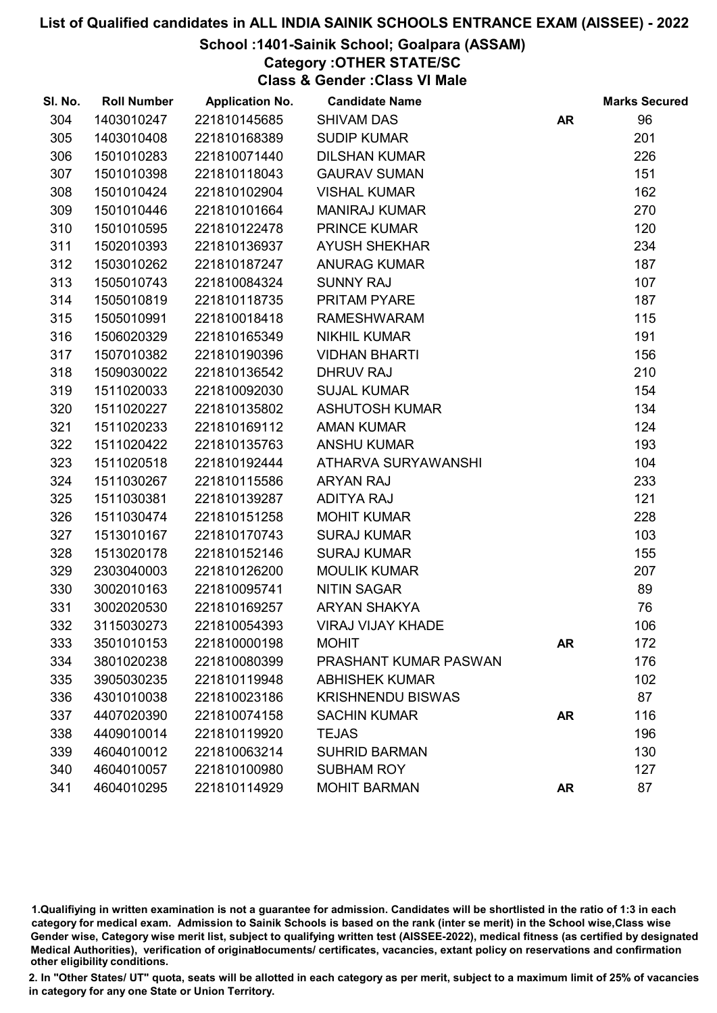### School :1401-Sainik School; Goalpara (ASSAM)

Category :OTHER STATE/SC

Class & Gender :Class VI Male

| SI. No. | <b>Roll Number</b> | <b>Application No.</b> | <b>Candidate Name</b>    |           | <b>Marks Secured</b> |
|---------|--------------------|------------------------|--------------------------|-----------|----------------------|
| 304     | 1403010247         | 221810145685           | <b>SHIVAM DAS</b>        | <b>AR</b> | 96                   |
| 305     | 1403010408         | 221810168389           | <b>SUDIP KUMAR</b>       |           | 201                  |
| 306     | 1501010283         | 221810071440           | <b>DILSHAN KUMAR</b>     |           | 226                  |
| 307     | 1501010398         | 221810118043           | <b>GAURAV SUMAN</b>      |           | 151                  |
| 308     | 1501010424         | 221810102904           | <b>VISHAL KUMAR</b>      |           | 162                  |
| 309     | 1501010446         | 221810101664           | <b>MANIRAJ KUMAR</b>     |           | 270                  |
| 310     | 1501010595         | 221810122478           | <b>PRINCE KUMAR</b>      |           | 120                  |
| 311     | 1502010393         | 221810136937           | <b>AYUSH SHEKHAR</b>     |           | 234                  |
| 312     | 1503010262         | 221810187247           | <b>ANURAG KUMAR</b>      |           | 187                  |
| 313     | 1505010743         | 221810084324           | <b>SUNNY RAJ</b>         |           | 107                  |
| 314     | 1505010819         | 221810118735           | PRITAM PYARE             |           | 187                  |
| 315     | 1505010991         | 221810018418           | <b>RAMESHWARAM</b>       |           | 115                  |
| 316     | 1506020329         | 221810165349           | <b>NIKHIL KUMAR</b>      |           | 191                  |
| 317     | 1507010382         | 221810190396           | <b>VIDHAN BHARTI</b>     |           | 156                  |
| 318     | 1509030022         | 221810136542           | <b>DHRUV RAJ</b>         |           | 210                  |
| 319     | 1511020033         | 221810092030           | <b>SUJAL KUMAR</b>       |           | 154                  |
| 320     | 1511020227         | 221810135802           | <b>ASHUTOSH KUMAR</b>    |           | 134                  |
| 321     | 1511020233         | 221810169112           | <b>AMAN KUMAR</b>        |           | 124                  |
| 322     | 1511020422         | 221810135763           | <b>ANSHU KUMAR</b>       |           | 193                  |
| 323     | 1511020518         | 221810192444           | ATHARVA SURYAWANSHI      |           | 104                  |
| 324     | 1511030267         | 221810115586           | <b>ARYAN RAJ</b>         |           | 233                  |
| 325     | 1511030381         | 221810139287           | <b>ADITYA RAJ</b>        |           | 121                  |
| 326     | 1511030474         | 221810151258           | <b>MOHIT KUMAR</b>       |           | 228                  |
| 327     | 1513010167         | 221810170743           | <b>SURAJ KUMAR</b>       |           | 103                  |
| 328     | 1513020178         | 221810152146           | <b>SURAJ KUMAR</b>       |           | 155                  |
| 329     | 2303040003         | 221810126200           | <b>MOULIK KUMAR</b>      |           | 207                  |
| 330     | 3002010163         | 221810095741           | <b>NITIN SAGAR</b>       |           | 89                   |
| 331     | 3002020530         | 221810169257           | <b>ARYAN SHAKYA</b>      |           | 76                   |
| 332     | 3115030273         | 221810054393           | <b>VIRAJ VIJAY KHADE</b> |           | 106                  |
| 333     | 3501010153         | 221810000198           | <b>MOHIT</b>             | <b>AR</b> | 172                  |
| 334     | 3801020238         | 221810080399           | PRASHANT KUMAR PASWAN    |           | 176                  |
| 335     | 3905030235         | 221810119948           | <b>ABHISHEK KUMAR</b>    |           | 102                  |
| 336     | 4301010038         | 221810023186           | <b>KRISHNENDU BISWAS</b> |           | 87                   |
| 337     | 4407020390         | 221810074158           | <b>SACHIN KUMAR</b>      | <b>AR</b> | 116                  |
| 338     | 4409010014         | 221810119920           | <b>TEJAS</b>             |           | 196                  |
| 339     | 4604010012         | 221810063214           | <b>SUHRID BARMAN</b>     |           | 130                  |
| 340     | 4604010057         | 221810100980           | <b>SUBHAM ROY</b>        |           | 127                  |
| 341     | 4604010295         | 221810114929           | <b>MOHIT BARMAN</b>      | <b>AR</b> | 87                   |

1.Qualifiying in written examination is not a guarantee for admission. Candidates will be shortlisted in the ratio of 1:3 in each category for medical exam. Admission to Sainik Schools is based on the rank (inter se merit) in the School wise,Class wise Gender wise, Category wise merit list, subject to qualifying written test (AISSEE-2022), medical fitness (as certified by designated Medical Authorities), verification of originablocuments/ certificates, vacancies, extant policy on reservations and confirmation other eligibility conditions.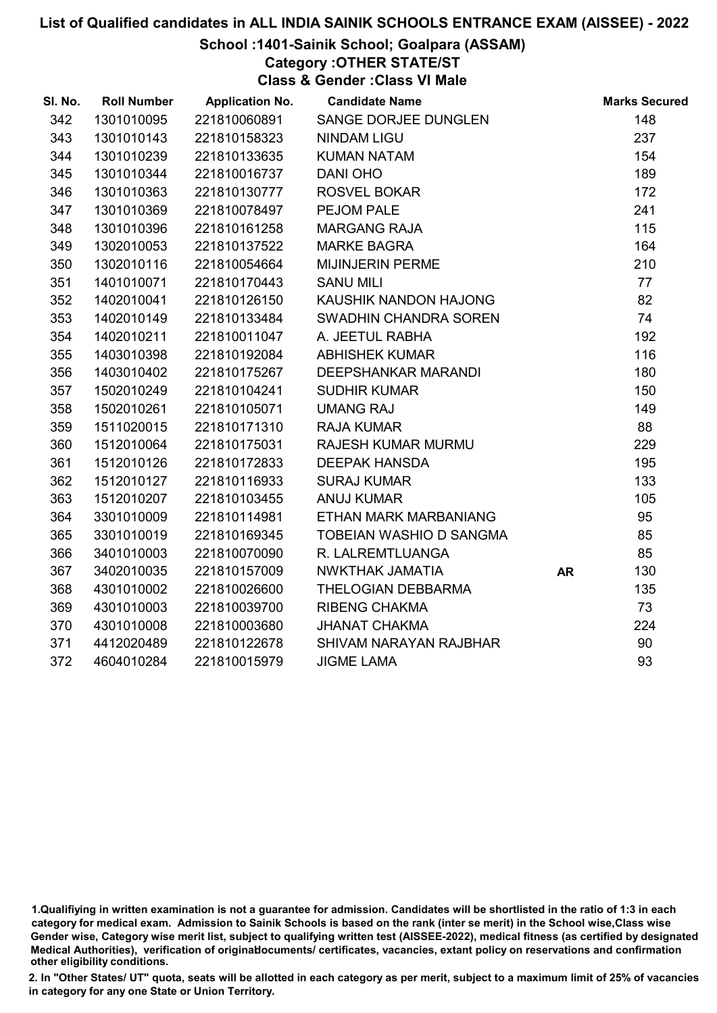#### School :1401-Sainik School; Goalpara (ASSAM)

Category :OTHER STATE/ST

Class & Gender :Class VI Male

| SI. No. | <b>Roll Number</b> | <b>Application No.</b> | <b>Candidate Name</b>         |           | <b>Marks Secured</b> |
|---------|--------------------|------------------------|-------------------------------|-----------|----------------------|
| 342     | 1301010095         | 221810060891           | SANGE DORJEE DUNGLEN          |           | 148                  |
| 343     | 1301010143         | 221810158323           | <b>NINDAM LIGU</b>            |           | 237                  |
| 344     | 1301010239         | 221810133635           | <b>KUMAN NATAM</b>            |           | 154                  |
| 345     | 1301010344         | 221810016737           | DANI OHO                      |           | 189                  |
| 346     | 1301010363         | 221810130777           | ROSVEL BOKAR                  |           | 172                  |
| 347     | 1301010369         | 221810078497           | PEJOM PALE                    |           | 241                  |
| 348     | 1301010396         | 221810161258           | <b>MARGANG RAJA</b>           |           | 115                  |
| 349     | 1302010053         | 221810137522           | <b>MARKE BAGRA</b>            |           | 164                  |
| 350     | 1302010116         | 221810054664           | <b>MIJINJERIN PERME</b>       |           | 210                  |
| 351     | 1401010071         | 221810170443           | <b>SANU MILI</b>              |           | 77                   |
| 352     | 1402010041         | 221810126150           | KAUSHIK NANDON HAJONG         |           | 82                   |
| 353     | 1402010149         | 221810133484           | SWADHIN CHANDRA SOREN         |           | 74                   |
| 354     | 1402010211         | 221810011047           | A. JEETUL RABHA               |           | 192                  |
| 355     | 1403010398         | 221810192084           | <b>ABHISHEK KUMAR</b>         |           | 116                  |
| 356     | 1403010402         | 221810175267           | <b>DEEPSHANKAR MARANDI</b>    |           | 180                  |
| 357     | 1502010249         | 221810104241           | <b>SUDHIR KUMAR</b>           |           | 150                  |
| 358     | 1502010261         | 221810105071           | <b>UMANG RAJ</b>              |           | 149                  |
| 359     | 1511020015         | 221810171310           | <b>RAJA KUMAR</b>             |           | 88                   |
| 360     | 1512010064         | 221810175031           | RAJESH KUMAR MURMU            |           | 229                  |
| 361     | 1512010126         | 221810172833           | <b>DEEPAK HANSDA</b>          |           | 195                  |
| 362     | 1512010127         | 221810116933           | <b>SURAJ KUMAR</b>            |           | 133                  |
| 363     | 1512010207         | 221810103455           | <b>ANUJ KUMAR</b>             |           | 105                  |
| 364     | 3301010009         | 221810114981           | ETHAN MARK MARBANIANG         |           | 95                   |
| 365     | 3301010019         | 221810169345           | TOBEIAN WASHIO D SANGMA       |           | 85                   |
| 366     | 3401010003         | 221810070090           | R. LALREMTLUANGA              |           | 85                   |
| 367     | 3402010035         | 221810157009           | NWKTHAK JAMATIA               | <b>AR</b> | 130                  |
| 368     | 4301010002         | 221810026600           | THELOGIAN DEBBARMA            |           | 135                  |
| 369     | 4301010003         | 221810039700           | <b>RIBENG CHAKMA</b>          |           | 73                   |
| 370     | 4301010008         | 221810003680           | <b>JHANAT CHAKMA</b>          |           | 224                  |
| 371     | 4412020489         | 221810122678           | <b>SHIVAM NARAYAN RAJBHAR</b> |           | 90                   |
| 372     | 4604010284         | 221810015979           | <b>JIGME LAMA</b>             |           | 93                   |

<sup>1.</sup>Qualifiying in written examination is not a guarantee for admission. Candidates will be shortlisted in the ratio of 1:3 in each category for medical exam. Admission to Sainik Schools is based on the rank (inter se merit) in the School wise,Class wise Gender wise, Category wise merit list, subject to qualifying written test (AISSEE-2022), medical fitness (as certified by designated Medical Authorities), verification of originablocuments/ certificates, vacancies, extant policy on reservations and confirmation other eligibility conditions.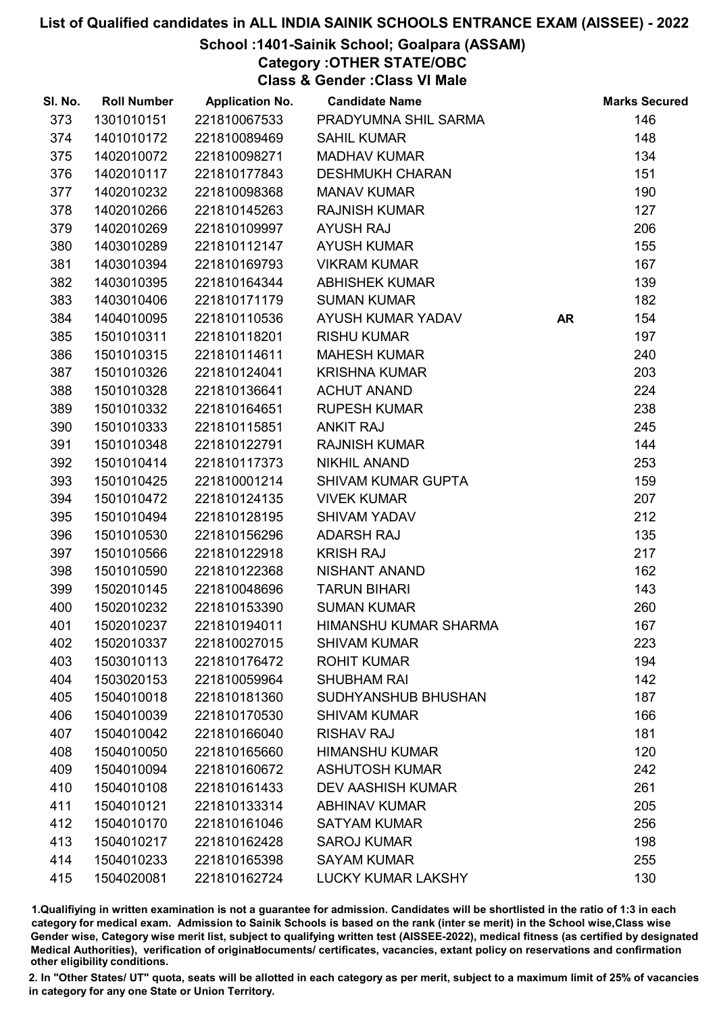### School :1401-Sainik School; Goalpara (ASSAM)

Category :OTHER STATE/OBC

Class & Gender :Class VI Male

| SI. No. | <b>Roll Number</b> | <b>Application No.</b> | <b>Candidate Name</b>     |           | <b>Marks Secured</b> |
|---------|--------------------|------------------------|---------------------------|-----------|----------------------|
| 373     | 1301010151         | 221810067533           | PRADYUMNA SHIL SARMA      |           | 146                  |
| 374     | 1401010172         | 221810089469           | <b>SAHIL KUMAR</b>        |           | 148                  |
| 375     | 1402010072         | 221810098271           | <b>MADHAV KUMAR</b>       |           | 134                  |
| 376     | 1402010117         | 221810177843           | <b>DESHMUKH CHARAN</b>    |           | 151                  |
| 377     | 1402010232         | 221810098368           | <b>MANAV KUMAR</b>        |           | 190                  |
| 378     | 1402010266         | 221810145263           | <b>RAJNISH KUMAR</b>      |           | 127                  |
| 379     | 1402010269         | 221810109997           | <b>AYUSH RAJ</b>          |           | 206                  |
| 380     | 1403010289         | 221810112147           | <b>AYUSH KUMAR</b>        |           | 155                  |
| 381     | 1403010394         | 221810169793           | <b>VIKRAM KUMAR</b>       |           | 167                  |
| 382     | 1403010395         | 221810164344           | ABHISHEK KUMAR            |           | 139                  |
| 383     | 1403010406         | 221810171179           | <b>SUMAN KUMAR</b>        |           | 182                  |
| 384     | 1404010095         | 221810110536           | AYUSH KUMAR YADAV         | <b>AR</b> | 154                  |
| 385     | 1501010311         | 221810118201           | <b>RISHU KUMAR</b>        |           | 197                  |
| 386     | 1501010315         | 221810114611           | <b>MAHESH KUMAR</b>       |           | 240                  |
| 387     | 1501010326         | 221810124041           | <b>KRISHNA KUMAR</b>      |           | 203                  |
| 388     | 1501010328         | 221810136641           | <b>ACHUT ANAND</b>        |           | 224                  |
| 389     | 1501010332         | 221810164651           | <b>RUPESH KUMAR</b>       |           | 238                  |
| 390     | 1501010333         | 221810115851           | <b>ANKIT RAJ</b>          |           | 245                  |
| 391     | 1501010348         | 221810122791           | <b>RAJNISH KUMAR</b>      |           | 144                  |
| 392     | 1501010414         | 221810117373           | <b>NIKHIL ANAND</b>       |           | 253                  |
| 393     | 1501010425         | 221810001214           | <b>SHIVAM KUMAR GUPTA</b> |           | 159                  |
| 394     | 1501010472         | 221810124135           | <b>VIVEK KUMAR</b>        |           | 207                  |
| 395     | 1501010494         | 221810128195           | <b>SHIVAM YADAV</b>       |           | 212                  |
| 396     | 1501010530         | 221810156296           | <b>ADARSH RAJ</b>         |           | 135                  |
| 397     | 1501010566         | 221810122918           | <b>KRISH RAJ</b>          |           | 217                  |
| 398     | 1501010590         | 221810122368           | NISHANT ANAND             |           | 162                  |
| 399     | 1502010145         | 221810048696           | <b>TARUN BIHARI</b>       |           | 143                  |
| 400     | 1502010232         | 221810153390           | <b>SUMAN KUMAR</b>        |           | 260                  |
| 401     | 1502010237         | 221810194011           | HIMANSHU KUMAR SHARMA     |           | 167                  |
| 402     | 1502010337         | 221810027015           | <b>SHIVAM KUMAR</b>       |           | 223                  |
| 403     | 1503010113         | 221810176472           | <b>ROHIT KUMAR</b>        |           | 194                  |
| 404     | 1503020153         | 221810059964           | <b>SHUBHAM RAI</b>        |           | 142                  |
| 405     | 1504010018         | 221810181360           | SUDHYANSHUB BHUSHAN       |           | 187                  |
| 406     | 1504010039         | 221810170530           | <b>SHIVAM KUMAR</b>       |           | 166                  |
| 407     | 1504010042         | 221810166040           | <b>RISHAV RAJ</b>         |           | 181                  |
| 408     | 1504010050         | 221810165660           | <b>HIMANSHU KUMAR</b>     |           | 120                  |
| 409     | 1504010094         | 221810160672           | <b>ASHUTOSH KUMAR</b>     |           | 242                  |
| 410     | 1504010108         | 221810161433           | <b>DEV AASHISH KUMAR</b>  |           | 261                  |
| 411     | 1504010121         | 221810133314           | <b>ABHINAV KUMAR</b>      |           | 205                  |
| 412     | 1504010170         | 221810161046           | <b>SATYAM KUMAR</b>       |           | 256                  |
| 413     | 1504010217         | 221810162428           | <b>SAROJ KUMAR</b>        |           | 198                  |
| 414     | 1504010233         | 221810165398           | <b>SAYAM KUMAR</b>        |           | 255                  |
| 415     | 1504020081         | 221810162724           | <b>LUCKY KUMAR LAKSHY</b> |           | 130                  |

1.Qualifiying in written examination is not a guarantee for admission. Candidates will be shortlisted in the ratio of 1:3 in each category for medical exam. Admission to Sainik Schools is based on the rank (inter se merit) in the School wise,Class wise Gender wise, Category wise merit list, subject to qualifying written test (AISSEE-2022), medical fitness (as certified by designated Medical Authorities), verification of originablocuments/ certificates, vacancies, extant policy on reservations and confirmation other eligibility conditions.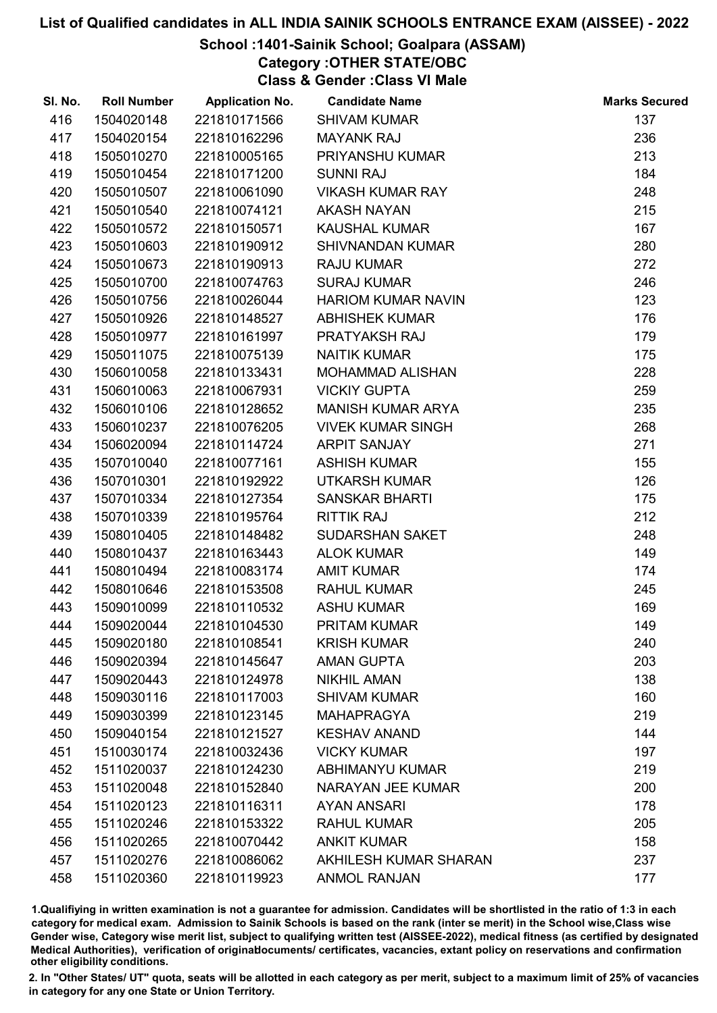### School :1401-Sainik School; Goalpara (ASSAM)

Category :OTHER STATE/OBC

Class & Gender :Class VI Male

| SI. No. | <b>Roll Number</b> | <b>Application No.</b> | <b>Candidate Name</b>     | <b>Marks Secured</b> |
|---------|--------------------|------------------------|---------------------------|----------------------|
| 416     | 1504020148         | 221810171566           | <b>SHIVAM KUMAR</b>       | 137                  |
| 417     | 1504020154         | 221810162296           | <b>MAYANK RAJ</b>         | 236                  |
| 418     | 1505010270         | 221810005165           | PRIYANSHU KUMAR           | 213                  |
| 419     | 1505010454         | 221810171200           | <b>SUNNI RAJ</b>          | 184                  |
| 420     | 1505010507         | 221810061090           | <b>VIKASH KUMAR RAY</b>   | 248                  |
| 421     | 1505010540         | 221810074121           | <b>AKASH NAYAN</b>        | 215                  |
| 422     | 1505010572         | 221810150571           | <b>KAUSHAL KUMAR</b>      | 167                  |
| 423     | 1505010603         | 221810190912           | <b>SHIVNANDAN KUMAR</b>   | 280                  |
| 424     | 1505010673         | 221810190913           | <b>RAJU KUMAR</b>         | 272                  |
| 425     | 1505010700         | 221810074763           | <b>SURAJ KUMAR</b>        | 246                  |
| 426     | 1505010756         | 221810026044           | <b>HARIOM KUMAR NAVIN</b> | 123                  |
| 427     | 1505010926         | 221810148527           | <b>ABHISHEK KUMAR</b>     | 176                  |
| 428     | 1505010977         | 221810161997           | PRATYAKSH RAJ             | 179                  |
| 429     | 1505011075         | 221810075139           | <b>NAITIK KUMAR</b>       | 175                  |
| 430     | 1506010058         | 221810133431           | <b>MOHAMMAD ALISHAN</b>   | 228                  |
| 431     | 1506010063         | 221810067931           | <b>VICKIY GUPTA</b>       | 259                  |
| 432     | 1506010106         | 221810128652           | <b>MANISH KUMAR ARYA</b>  | 235                  |
| 433     | 1506010237         | 221810076205           | <b>VIVEK KUMAR SINGH</b>  | 268                  |
| 434     | 1506020094         | 221810114724           | <b>ARPIT SANJAY</b>       | 271                  |
| 435     | 1507010040         | 221810077161           | <b>ASHISH KUMAR</b>       | 155                  |
| 436     | 1507010301         | 221810192922           | UTKARSH KUMAR             | 126                  |
| 437     | 1507010334         | 221810127354           | <b>SANSKAR BHARTI</b>     | 175                  |
| 438     | 1507010339         | 221810195764           | <b>RITTIK RAJ</b>         | 212                  |
| 439     | 1508010405         | 221810148482           | SUDARSHAN SAKET           | 248                  |
| 440     | 1508010437         | 221810163443           | <b>ALOK KUMAR</b>         | 149                  |
| 441     | 1508010494         | 221810083174           | <b>AMIT KUMAR</b>         | 174                  |
| 442     | 1508010646         | 221810153508           | <b>RAHUL KUMAR</b>        | 245                  |
| 443     | 1509010099         | 221810110532           | <b>ASHU KUMAR</b>         | 169                  |
| 444     | 1509020044         | 221810104530           | <b>PRITAM KUMAR</b>       | 149                  |
| 445     | 1509020180         | 221810108541           | <b>KRISH KUMAR</b>        | 240                  |
| 446     | 1509020394         | 221810145647           | <b>AMAN GUPTA</b>         | 203                  |
| 447     | 1509020443         | 221810124978           | <b>NIKHIL AMAN</b>        | 138                  |
| 448     | 1509030116         | 221810117003           | <b>SHIVAM KUMAR</b>       | 160                  |
| 449     | 1509030399         | 221810123145           | <b>MAHAPRAGYA</b>         | 219                  |
| 450     | 1509040154         | 221810121527           | <b>KESHAV ANAND</b>       | 144                  |
| 451     | 1510030174         | 221810032436           | <b>VICKY KUMAR</b>        | 197                  |
| 452     | 1511020037         | 221810124230           | <b>ABHIMANYU KUMAR</b>    | 219                  |
| 453     | 1511020048         | 221810152840           | NARAYAN JEE KUMAR         | 200                  |
| 454     | 1511020123         | 221810116311           | <b>AYAN ANSARI</b>        | 178                  |
| 455     | 1511020246         | 221810153322           | <b>RAHUL KUMAR</b>        | 205                  |
| 456     | 1511020265         | 221810070442           | <b>ANKIT KUMAR</b>        | 158                  |
| 457     | 1511020276         | 221810086062           | AKHILESH KUMAR SHARAN     | 237                  |
| 458     | 1511020360         | 221810119923           | <b>ANMOL RANJAN</b>       | 177                  |

1.Qualifiying in written examination is not a guarantee for admission. Candidates will be shortlisted in the ratio of 1:3 in each category for medical exam. Admission to Sainik Schools is based on the rank (inter se merit) in the School wise,Class wise Gender wise, Category wise merit list, subject to qualifying written test (AISSEE-2022), medical fitness (as certified by designated Medical Authorities), verification of originablocuments/ certificates, vacancies, extant policy on reservations and confirmation other eligibility conditions.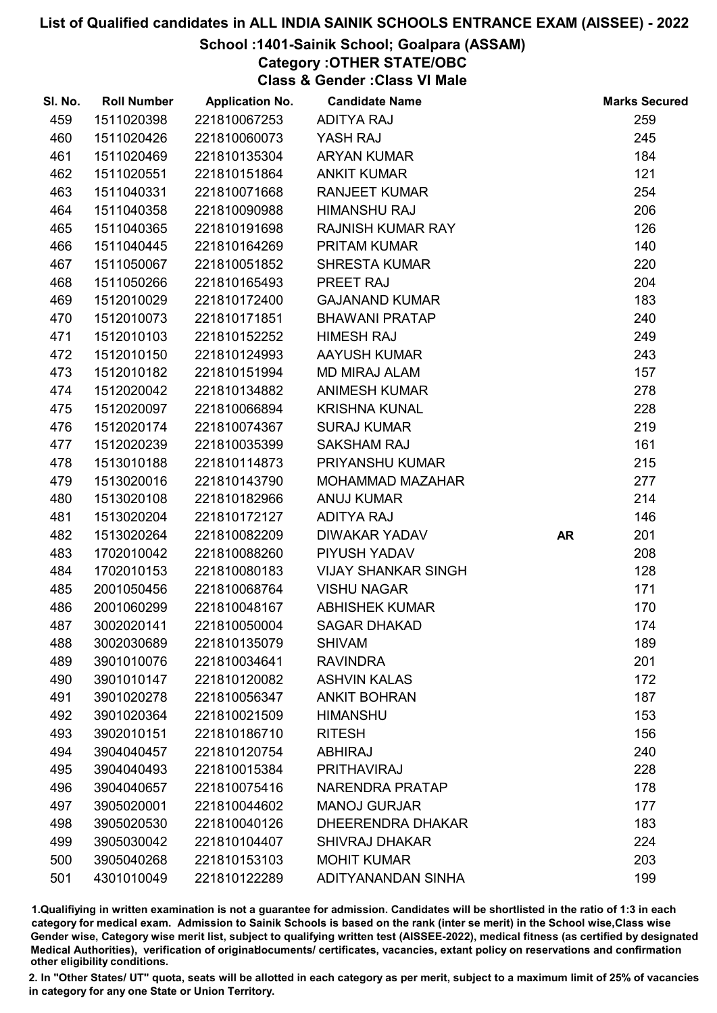### School :1401-Sainik School; Goalpara (ASSAM)

Category :OTHER STATE/OBC

Class & Gender :Class VI Male

| SI. No. | <b>Roll Number</b> | <b>Application No.</b> | <b>Candidate Name</b>      |           | <b>Marks Secured</b> |
|---------|--------------------|------------------------|----------------------------|-----------|----------------------|
| 459     | 1511020398         | 221810067253           | <b>ADITYA RAJ</b>          |           | 259                  |
| 460     | 1511020426         | 221810060073           | YASH RAJ                   |           | 245                  |
| 461     | 1511020469         | 221810135304           | <b>ARYAN KUMAR</b>         |           | 184                  |
| 462     | 1511020551         | 221810151864           | <b>ANKIT KUMAR</b>         |           | 121                  |
| 463     | 1511040331         | 221810071668           | <b>RANJEET KUMAR</b>       |           | 254                  |
| 464     | 1511040358         | 221810090988           | <b>HIMANSHU RAJ</b>        |           | 206                  |
| 465     | 1511040365         | 221810191698           | <b>RAJNISH KUMAR RAY</b>   |           | 126                  |
| 466     | 1511040445         | 221810164269           | PRITAM KUMAR               |           | 140                  |
| 467     | 1511050067         | 221810051852           | <b>SHRESTA KUMAR</b>       |           | 220                  |
| 468     | 1511050266         | 221810165493           | PREET RAJ                  |           | 204                  |
| 469     | 1512010029         | 221810172400           | <b>GAJANAND KUMAR</b>      |           | 183                  |
| 470     | 1512010073         | 221810171851           | <b>BHAWANI PRATAP</b>      |           | 240                  |
| 471     | 1512010103         | 221810152252           | <b>HIMESH RAJ</b>          |           | 249                  |
| 472     | 1512010150         | 221810124993           | AAYUSH KUMAR               |           | 243                  |
| 473     | 1512010182         | 221810151994           | <b>MD MIRAJ ALAM</b>       |           | 157                  |
| 474     | 1512020042         | 221810134882           | <b>ANIMESH KUMAR</b>       |           | 278                  |
| 475     | 1512020097         | 221810066894           | <b>KRISHNA KUNAL</b>       |           | 228                  |
| 476     | 1512020174         | 221810074367           | <b>SURAJ KUMAR</b>         |           | 219                  |
| 477     | 1512020239         | 221810035399           | <b>SAKSHAM RAJ</b>         |           | 161                  |
| 478     | 1513010188         | 221810114873           | PRIYANSHU KUMAR            |           | 215                  |
| 479     | 1513020016         | 221810143790           | MOHAMMAD MAZAHAR           |           | 277                  |
| 480     | 1513020108         | 221810182966           | <b>ANUJ KUMAR</b>          |           | 214                  |
| 481     | 1513020204         | 221810172127           | <b>ADITYA RAJ</b>          |           | 146                  |
| 482     | 1513020264         | 221810082209           | <b>DIWAKAR YADAV</b>       | <b>AR</b> | 201                  |
| 483     | 1702010042         | 221810088260           | PIYUSH YADAV               |           | 208                  |
| 484     | 1702010153         | 221810080183           | <b>VIJAY SHANKAR SINGH</b> |           | 128                  |
| 485     | 2001050456         | 221810068764           | <b>VISHU NAGAR</b>         |           | 171                  |
| 486     | 2001060299         | 221810048167           | <b>ABHISHEK KUMAR</b>      |           | 170                  |
| 487     | 3002020141         | 221810050004           | <b>SAGAR DHAKAD</b>        |           | 174                  |
| 488     | 3002030689         | 221810135079           | <b>SHIVAM</b>              |           | 189                  |
| 489     | 3901010076         | 221810034641           | <b>RAVINDRA</b>            |           | 201                  |
| 490     | 3901010147         | 221810120082           | <b>ASHVIN KALAS</b>        |           | 172                  |
| 491     | 3901020278         | 221810056347           | <b>ANKIT BOHRAN</b>        |           | 187                  |
| 492     | 3901020364         | 221810021509           | <b>HIMANSHU</b>            |           | 153                  |
| 493     | 3902010151         | 221810186710           | <b>RITESH</b>              |           | 156                  |
| 494     | 3904040457         | 221810120754           | <b>ABHIRAJ</b>             |           | 240                  |
| 495     | 3904040493         | 221810015384           | PRITHAVIRAJ                |           | 228                  |
| 496     | 3904040657         | 221810075416           | NARENDRA PRATAP            |           | 178                  |
| 497     | 3905020001         | 221810044602           | <b>MANOJ GURJAR</b>        |           | 177                  |
| 498     | 3905020530         | 221810040126           | <b>DHEERENDRA DHAKAR</b>   |           | 183                  |
| 499     | 3905030042         | 221810104407           | <b>SHIVRAJ DHAKAR</b>      |           | 224                  |
| 500     | 3905040268         | 221810153103           | <b>MOHIT KUMAR</b>         |           | 203                  |
| 501     | 4301010049         | 221810122289           | ADITYANANDAN SINHA         |           | 199                  |

1.Qualifiying in written examination is not a guarantee for admission. Candidates will be shortlisted in the ratio of 1:3 in each category for medical exam. Admission to Sainik Schools is based on the rank (inter se merit) in the School wise,Class wise Gender wise, Category wise merit list, subject to qualifying written test (AISSEE-2022), medical fitness (as certified by designated Medical Authorities), verification of originablocuments/ certificates, vacancies, extant policy on reservations and confirmation other eligibility conditions.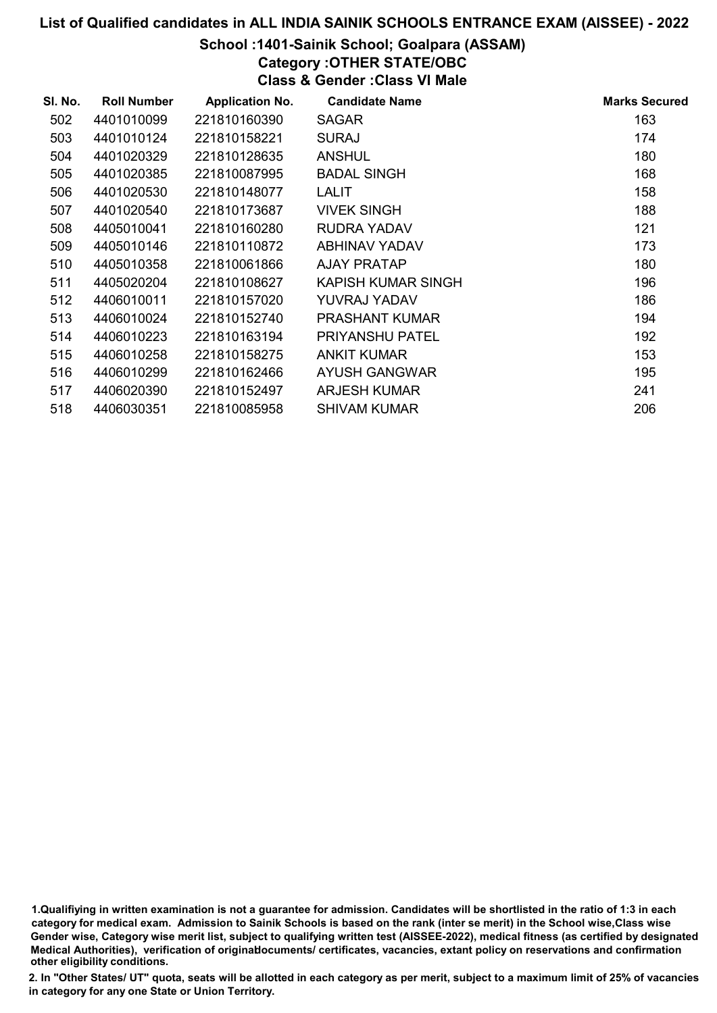### School :1401-Sainik School; Goalpara (ASSAM)

Category :OTHER STATE/OBC

Class & Gender :Class VI Male

| SI. No. | <b>Roll Number</b> | <b>Application No.</b> | <b>Candidate Name</b>  | <b>Marks Secured</b> |
|---------|--------------------|------------------------|------------------------|----------------------|
| 502     | 4401010099         | 221810160390           | <b>SAGAR</b>           | 163                  |
| 503     | 4401010124         | 221810158221           | <b>SURAJ</b>           | 174                  |
| 504     | 4401020329         | 221810128635           | <b>ANSHUL</b>          | 180                  |
| 505     | 4401020385         | 221810087995           | <b>BADAL SINGH</b>     | 168                  |
| 506     | 4401020530         | 221810148077           | LALIT                  | 158                  |
| 507     | 4401020540         | 221810173687           | <b>VIVEK SINGH</b>     | 188                  |
| 508     | 4405010041         | 221810160280           | RUDRA YADAV            | 121                  |
| 509     | 4405010146         | 221810110872           | ABHINAV YADAV          | 173                  |
| 510     | 4405010358         | 221810061866           | AJAY PRATAP            | 180                  |
| 511     | 4405020204         | 221810108627           | KAPISH KUMAR SINGH     | 196                  |
| 512     | 4406010011         | 221810157020           | YUVRAJ YADAV           | 186                  |
| 513     | 4406010024         | 221810152740           | <b>PRASHANT KUMAR</b>  | 194                  |
| 514     | 4406010223         | 221810163194           | <b>PRIYANSHU PATEL</b> | 192                  |
| 515     | 4406010258         | 221810158275           | ANKIT KUMAR            | 153                  |
| 516     | 4406010299         | 221810162466           | AYUSH GANGWAR          | 195                  |
| 517     | 4406020390         | 221810152497           | ARJESH KUMAR           | 241                  |
| 518     | 4406030351         | 221810085958           | <b>SHIVAM KUMAR</b>    | 206                  |

<sup>1.</sup>Qualifiying in written examination is not a guarantee for admission. Candidates will be shortlisted in the ratio of 1:3 in each category for medical exam. Admission to Sainik Schools is based on the rank (inter se merit) in the School wise,Class wise Gender wise, Category wise merit list, subject to qualifying written test (AISSEE-2022), medical fitness (as certified by designated Medical Authorities), verification of originablocuments/ certificates, vacancies, extant policy on reservations and confirmation other eligibility conditions.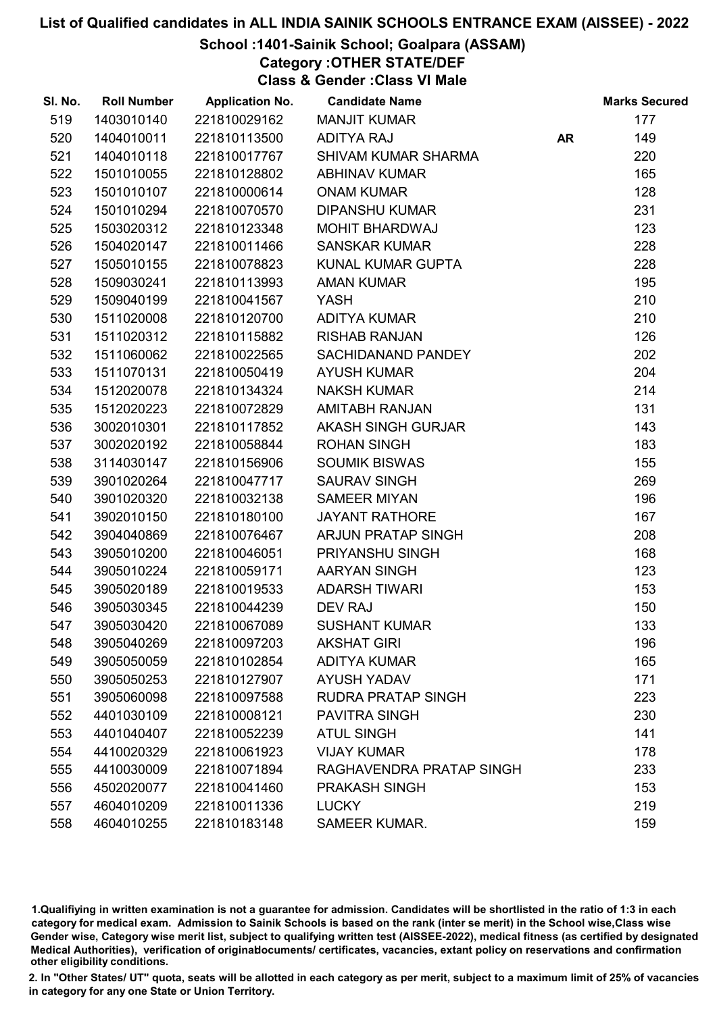### School :1401-Sainik School; Goalpara (ASSAM)

Category :OTHER STATE/DEF

Class & Gender :Class VI Male

| SI. No. | <b>Roll Number</b> | <b>Application No.</b> | <b>Candidate Name</b>      |           | <b>Marks Secured</b> |
|---------|--------------------|------------------------|----------------------------|-----------|----------------------|
| 519     | 1403010140         | 221810029162           | <b>MANJIT KUMAR</b>        |           | 177                  |
| 520     | 1404010011         | 221810113500           | ADITYA RAJ                 | <b>AR</b> | 149                  |
| 521     | 1404010118         | 221810017767           | <b>SHIVAM KUMAR SHARMA</b> |           | 220                  |
| 522     | 1501010055         | 221810128802           | <b>ABHINAV KUMAR</b>       |           | 165                  |
| 523     | 1501010107         | 221810000614           | <b>ONAM KUMAR</b>          |           | 128                  |
| 524     | 1501010294         | 221810070570           | <b>DIPANSHU KUMAR</b>      |           | 231                  |
| 525     | 1503020312         | 221810123348           | <b>MOHIT BHARDWAJ</b>      |           | 123                  |
| 526     | 1504020147         | 221810011466           | <b>SANSKAR KUMAR</b>       |           | 228                  |
| 527     | 1505010155         | 221810078823           | KUNAL KUMAR GUPTA          |           | 228                  |
| 528     | 1509030241         | 221810113993           | <b>AMAN KUMAR</b>          |           | 195                  |
| 529     | 1509040199         | 221810041567           | <b>YASH</b>                |           | 210                  |
| 530     | 1511020008         | 221810120700           | <b>ADITYA KUMAR</b>        |           | 210                  |
| 531     | 1511020312         | 221810115882           | <b>RISHAB RANJAN</b>       |           | 126                  |
| 532     | 1511060062         | 221810022565           | <b>SACHIDANAND PANDEY</b>  |           | 202                  |
| 533     | 1511070131         | 221810050419           | <b>AYUSH KUMAR</b>         |           | 204                  |
| 534     | 1512020078         | 221810134324           | <b>NAKSH KUMAR</b>         |           | 214                  |
| 535     | 1512020223         | 221810072829           | <b>AMITABH RANJAN</b>      |           | 131                  |
| 536     | 3002010301         | 221810117852           | <b>AKASH SINGH GURJAR</b>  |           | 143                  |
| 537     | 3002020192         | 221810058844           | <b>ROHAN SINGH</b>         |           | 183                  |
| 538     | 3114030147         | 221810156906           | <b>SOUMIK BISWAS</b>       |           | 155                  |
| 539     | 3901020264         | 221810047717           | SAURAV SINGH               |           | 269                  |
| 540     | 3901020320         | 221810032138           | <b>SAMEER MIYAN</b>        |           | 196                  |
| 541     | 3902010150         | 221810180100           | <b>JAYANT RATHORE</b>      |           | 167                  |
| 542     | 3904040869         | 221810076467           | ARJUN PRATAP SINGH         |           | 208                  |
| 543     | 3905010200         | 221810046051           | PRIYANSHU SINGH            |           | 168                  |
| 544     | 3905010224         | 221810059171           | AARYAN SINGH               |           | 123                  |
| 545     | 3905020189         | 221810019533           | <b>ADARSH TIWARI</b>       |           | 153                  |
| 546     | 3905030345         | 221810044239           | <b>DEV RAJ</b>             |           | 150                  |
| 547     | 3905030420         | 221810067089           | <b>SUSHANT KUMAR</b>       |           | 133                  |
| 548     | 3905040269         | 221810097203           | <b>AKSHAT GIRI</b>         |           | 196                  |
| 549     | 3905050059         | 221810102854           | <b>ADITYA KUMAR</b>        |           | 165                  |
| 550     | 3905050253         | 221810127907           | <b>AYUSH YADAV</b>         |           | 171                  |
| 551     | 3905060098         | 221810097588           | <b>RUDRA PRATAP SINGH</b>  |           | 223                  |
| 552     | 4401030109         | 221810008121           | <b>PAVITRA SINGH</b>       |           | 230                  |
| 553     | 4401040407         | 221810052239           | <b>ATUL SINGH</b>          |           | 141                  |
| 554     | 4410020329         | 221810061923           | <b>VIJAY KUMAR</b>         |           | 178                  |
| 555     | 4410030009         | 221810071894           | RAGHAVENDRA PRATAP SINGH   |           | 233                  |
| 556     | 4502020077         | 221810041460           | PRAKASH SINGH              |           | 153                  |
| 557     | 4604010209         | 221810011336           | <b>LUCKY</b>               |           | 219                  |
| 558     | 4604010255         | 221810183148           | <b>SAMEER KUMAR.</b>       |           | 159                  |

1.Qualifiying in written examination is not a guarantee for admission. Candidates will be shortlisted in the ratio of 1:3 in each category for medical exam. Admission to Sainik Schools is based on the rank (inter se merit) in the School wise,Class wise Gender wise, Category wise merit list, subject to qualifying written test (AISSEE-2022), medical fitness (as certified by designated Medical Authorities), verification of originablocuments/ certificates, vacancies, extant policy on reservations and confirmation other eligibility conditions.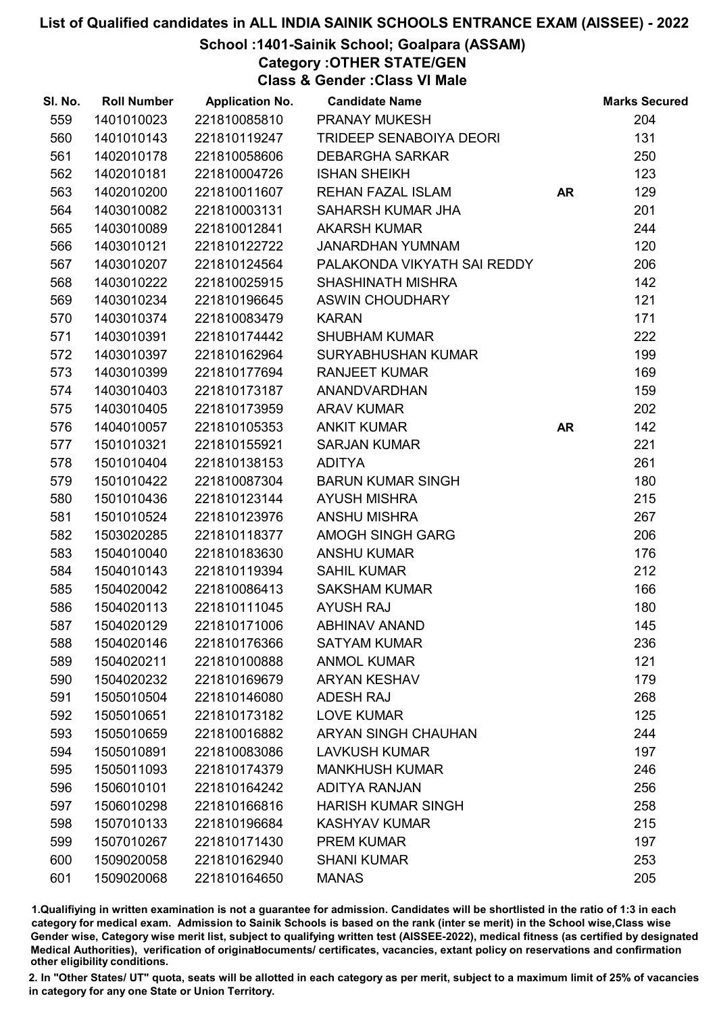### School :1401-Sainik School; Goalpara (ASSAM)

Category :OTHER STATE/GEN

Class & Gender :Class VI Male

| SI. No. | <b>Roll Number</b> | <b>Application No.</b> | <b>Candidate Name</b>          |           | <b>Marks Secured</b> |
|---------|--------------------|------------------------|--------------------------------|-----------|----------------------|
| 559     | 1401010023         | 221810085810           | <b>PRANAY MUKESH</b>           |           | 204                  |
| 560     | 1401010143         | 221810119247           | <b>TRIDEEP SENABOIYA DEORI</b> |           | 131                  |
| 561     | 1402010178         | 221810058606           | <b>DEBARGHA SARKAR</b>         |           | 250                  |
| 562     | 1402010181         | 221810004726           | <b>ISHAN SHEIKH</b>            |           | 123                  |
| 563     | 1402010200         | 221810011607           | REHAN FAZAL ISLAM              | <b>AR</b> | 129                  |
| 564     | 1403010082         | 221810003131           | SAHARSH KUMAR JHA              |           | 201                  |
| 565     | 1403010089         | 221810012841           | <b>AKARSH KUMAR</b>            |           | 244                  |
| 566     | 1403010121         | 221810122722           | <b>JANARDHAN YUMNAM</b>        |           | 120                  |
| 567     | 1403010207         | 221810124564           | PALAKONDA VIKYATH SAI REDDY    |           | 206                  |
| 568     | 1403010222         | 221810025915           | <b>SHASHINATH MISHRA</b>       |           | 142                  |
| 569     | 1403010234         | 221810196645           | <b>ASWIN CHOUDHARY</b>         |           | 121                  |
| 570     | 1403010374         | 221810083479           | <b>KARAN</b>                   |           | 171                  |
| 571     | 1403010391         | 221810174442           | <b>SHUBHAM KUMAR</b>           |           | 222                  |
| 572     | 1403010397         | 221810162964           | <b>SURYABHUSHAN KUMAR</b>      |           | 199                  |
| 573     | 1403010399         | 221810177694           | <b>RANJEET KUMAR</b>           |           | 169                  |
| 574     | 1403010403         | 221810173187           | <b>ANANDVARDHAN</b>            |           | 159                  |
| 575     | 1403010405         | 221810173959           | <b>ARAV KUMAR</b>              |           | 202                  |
| 576     | 1404010057         | 221810105353           | <b>ANKIT KUMAR</b>             | <b>AR</b> | 142                  |
| 577     | 1501010321         | 221810155921           | <b>SARJAN KUMAR</b>            |           | 221                  |
| 578     | 1501010404         | 221810138153           | <b>ADITYA</b>                  |           | 261                  |
| 579     | 1501010422         | 221810087304           | <b>BARUN KUMAR SINGH</b>       |           | 180                  |
| 580     | 1501010436         | 221810123144           | <b>AYUSH MISHRA</b>            |           | 215                  |
| 581     | 1501010524         | 221810123976           | <b>ANSHU MISHRA</b>            |           | 267                  |
| 582     | 1503020285         | 221810118377           | <b>AMOGH SINGH GARG</b>        |           | 206                  |
| 583     | 1504010040         | 221810183630           | <b>ANSHU KUMAR</b>             |           | 176                  |
| 584     | 1504010143         | 221810119394           | <b>SAHIL KUMAR</b>             |           | 212                  |
| 585     | 1504020042         | 221810086413           | <b>SAKSHAM KUMAR</b>           |           | 166                  |
| 586     | 1504020113         | 221810111045           | <b>AYUSH RAJ</b>               |           | 180                  |
| 587     | 1504020129         | 221810171006           | <b>ABHINAV ANAND</b>           |           | 145                  |
| 588     | 1504020146         | 221810176366           | <b>SATYAM KUMAR</b>            |           | 236                  |
| 589     | 1504020211         | 221810100888           | <b>ANMOL KUMAR</b>             |           | 121                  |
| 590     | 1504020232         | 221810169679           | <b>ARYAN KESHAV</b>            |           | 179                  |
| 591     | 1505010504         | 221810146080           | <b>ADESH RAJ</b>               |           | 268                  |
| 592     | 1505010651         | 221810173182           | <b>LOVE KUMAR</b>              |           | 125                  |
| 593     | 1505010659         | 221810016882           | <b>ARYAN SINGH CHAUHAN</b>     |           | 244                  |
| 594     | 1505010891         | 221810083086           | <b>LAVKUSH KUMAR</b>           |           | 197                  |
| 595     | 1505011093         | 221810174379           | <b>MANKHUSH KUMAR</b>          |           | 246                  |
| 596     | 1506010101         | 221810164242           | <b>ADITYA RANJAN</b>           |           | 256                  |
| 597     | 1506010298         | 221810166816           | <b>HARISH KUMAR SINGH</b>      |           | 258                  |
| 598     | 1507010133         | 221810196684           | <b>KASHYAV KUMAR</b>           |           | 215                  |
| 599     | 1507010267         | 221810171430           | <b>PREM KUMAR</b>              |           | 197                  |
| 600     | 1509020058         | 221810162940           | <b>SHANI KUMAR</b>             |           | 253                  |
| 601     | 1509020068         | 221810164650           | <b>MANAS</b>                   |           | 205                  |

1.Qualifiying in written examination is not a guarantee for admission. Candidates will be shortlisted in the ratio of 1:3 in each category for medical exam. Admission to Sainik Schools is based on the rank (inter se merit) in the School wise,Class wise Gender wise, Category wise merit list, subject to qualifying written test (AISSEE-2022), medical fitness (as certified by designated Medical Authorities), verification of originablocuments/ certificates, vacancies, extant policy on reservations and confirmation other eligibility conditions.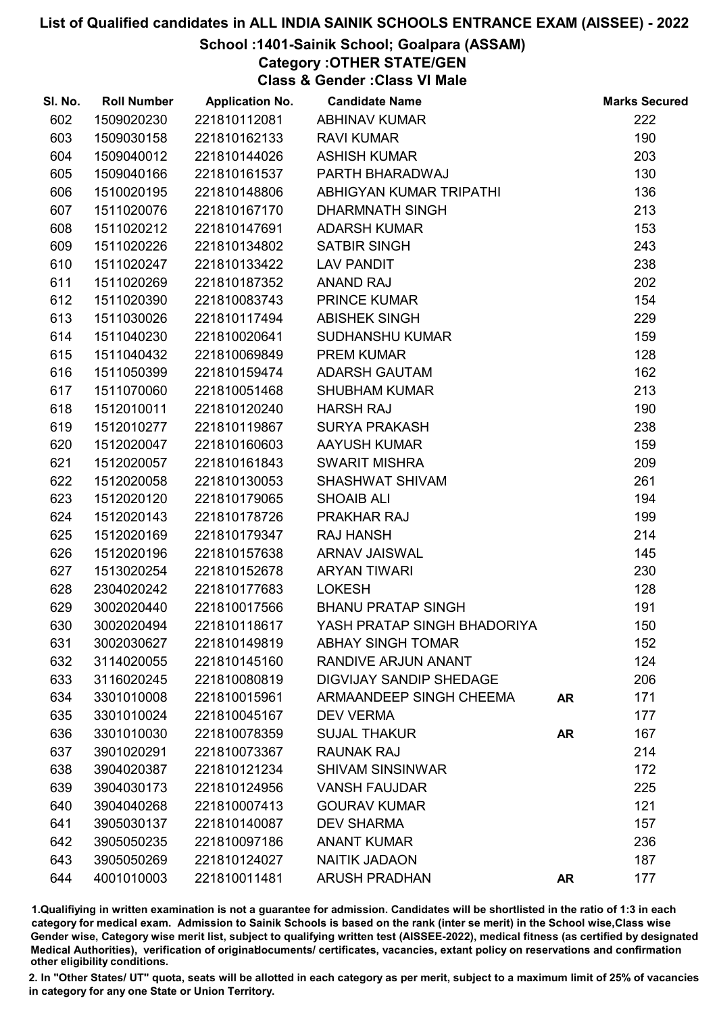### School :1401-Sainik School; Goalpara (ASSAM)

Category :OTHER STATE/GEN

Class & Gender :Class VI Male

| SI. No. | <b>Roll Number</b> | <b>Application No.</b> | <b>Candidate Name</b>          |           | <b>Marks Secured</b> |
|---------|--------------------|------------------------|--------------------------------|-----------|----------------------|
| 602     | 1509020230         | 221810112081           | <b>ABHINAV KUMAR</b>           |           | 222                  |
| 603     | 1509030158         | 221810162133           | <b>RAVI KUMAR</b>              |           | 190                  |
| 604     | 1509040012         | 221810144026           | <b>ASHISH KUMAR</b>            |           | 203                  |
| 605     | 1509040166         | 221810161537           | PARTH BHARADWAJ                |           | 130                  |
| 606     | 1510020195         | 221810148806           | ABHIGYAN KUMAR TRIPATHI        |           | 136                  |
| 607     | 1511020076         | 221810167170           | <b>DHARMNATH SINGH</b>         |           | 213                  |
| 608     | 1511020212         | 221810147691           | <b>ADARSH KUMAR</b>            |           | 153                  |
| 609     | 1511020226         | 221810134802           | <b>SATBIR SINGH</b>            |           | 243                  |
| 610     | 1511020247         | 221810133422           | <b>LAV PANDIT</b>              |           | 238                  |
| 611     | 1511020269         | 221810187352           | <b>ANAND RAJ</b>               |           | 202                  |
| 612     | 1511020390         | 221810083743           | PRINCE KUMAR                   |           | 154                  |
| 613     | 1511030026         | 221810117494           | <b>ABISHEK SINGH</b>           |           | 229                  |
| 614     | 1511040230         | 221810020641           | <b>SUDHANSHU KUMAR</b>         |           | 159                  |
| 615     | 1511040432         | 221810069849           | <b>PREM KUMAR</b>              |           | 128                  |
| 616     | 1511050399         | 221810159474           | <b>ADARSH GAUTAM</b>           |           | 162                  |
| 617     | 1511070060         | 221810051468           | <b>SHUBHAM KUMAR</b>           |           | 213                  |
| 618     | 1512010011         | 221810120240           | <b>HARSH RAJ</b>               |           | 190                  |
| 619     | 1512010277         | 221810119867           | <b>SURYA PRAKASH</b>           |           | 238                  |
| 620     | 1512020047         | 221810160603           | <b>AAYUSH KUMAR</b>            |           | 159                  |
| 621     | 1512020057         | 221810161843           | <b>SWARIT MISHRA</b>           |           | 209                  |
| 622     | 1512020058         | 221810130053           | SHASHWAT SHIVAM                |           | 261                  |
| 623     | 1512020120         | 221810179065           | <b>SHOAIB ALI</b>              |           | 194                  |
| 624     | 1512020143         | 221810178726           | <b>PRAKHAR RAJ</b>             |           | 199                  |
| 625     | 1512020169         | 221810179347           | <b>RAJ HANSH</b>               |           | 214                  |
| 626     | 1512020196         | 221810157638           | <b>ARNAV JAISWAL</b>           |           | 145                  |
| 627     | 1513020254         | 221810152678           | <b>ARYAN TIWARI</b>            |           | 230                  |
| 628     | 2304020242         | 221810177683           | <b>LOKESH</b>                  |           | 128                  |
| 629     | 3002020440         | 221810017566           | <b>BHANU PRATAP SINGH</b>      |           | 191                  |
| 630     | 3002020494         | 221810118617           | YASH PRATAP SINGH BHADORIYA    |           | 150                  |
| 631     | 3002030627         | 221810149819           | <b>ABHAY SINGH TOMAR</b>       |           | 152                  |
| 632     | 3114020055         | 221810145160           | <b>RANDIVE ARJUN ANANT</b>     |           | 124                  |
| 633     | 3116020245         | 221810080819           | <b>DIGVIJAY SANDIP SHEDAGE</b> |           | 206                  |
| 634     | 3301010008         | 221810015961           | <b>ARMAANDEEP SINGH CHEEMA</b> | <b>AR</b> | 171                  |
| 635     | 3301010024         | 221810045167           | <b>DEV VERMA</b>               |           | 177                  |
| 636     | 3301010030         | 221810078359           | <b>SUJAL THAKUR</b>            | <b>AR</b> | 167                  |
| 637     | 3901020291         | 221810073367           | <b>RAUNAK RAJ</b>              |           | 214                  |
| 638     | 3904020387         | 221810121234           | <b>SHIVAM SINSINWAR</b>        |           | 172                  |
| 639     | 3904030173         | 221810124956           | <b>VANSH FAUJDAR</b>           |           | 225                  |
| 640     | 3904040268         | 221810007413           | <b>GOURAV KUMAR</b>            |           | 121                  |
| 641     | 3905030137         | 221810140087           | <b>DEV SHARMA</b>              |           | 157                  |
| 642     | 3905050235         | 221810097186           | <b>ANANT KUMAR</b>             |           | 236                  |
| 643     | 3905050269         | 221810124027           | <b>NAITIK JADAON</b>           |           | 187                  |
| 644     | 4001010003         | 221810011481           | <b>ARUSH PRADHAN</b>           | <b>AR</b> | 177                  |

1.Qualifiying in written examination is not a guarantee for admission. Candidates will be shortlisted in the ratio of 1:3 in each category for medical exam. Admission to Sainik Schools is based on the rank (inter se merit) in the School wise,Class wise Gender wise, Category wise merit list, subject to qualifying written test (AISSEE-2022), medical fitness (as certified by designated Medical Authorities), verification of originablocuments/ certificates, vacancies, extant policy on reservations and confirmation other eligibility conditions.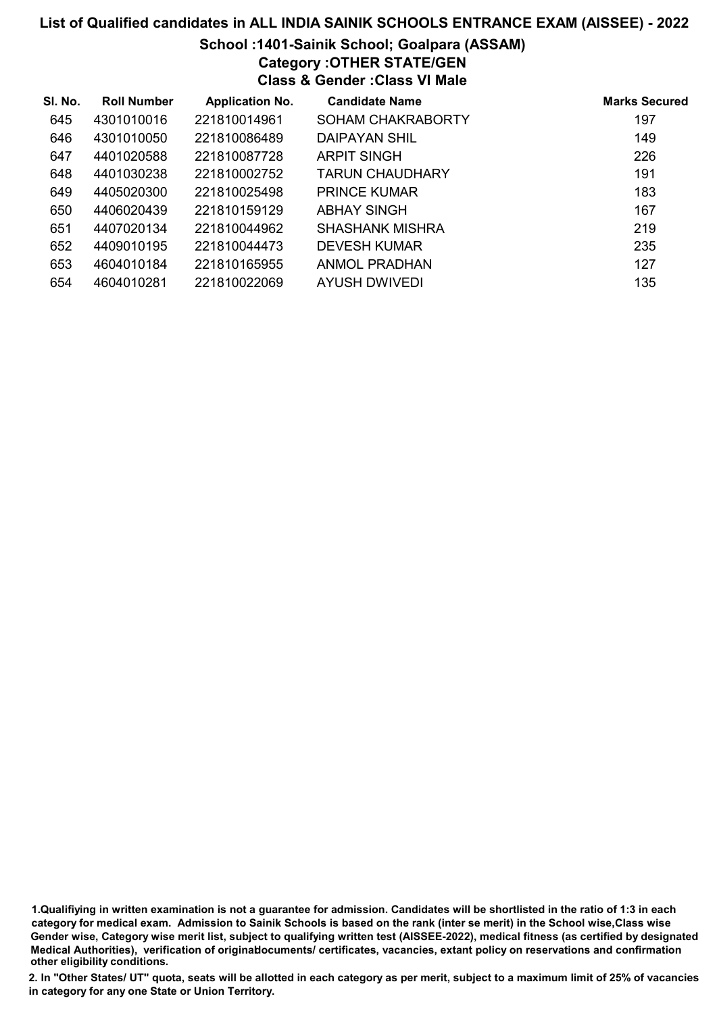### School :1401-Sainik School; Goalpara (ASSAM)

Category :OTHER STATE/GEN

Class & Gender :Class VI Male

| SI. No. | <b>Roll Number</b> | <b>Application No.</b> | <b>Candidate Name</b>  | <b>Marks Secured</b> |
|---------|--------------------|------------------------|------------------------|----------------------|
| 645     | 4301010016         | 221810014961           | SOHAM CHAKRABORTY      | 197                  |
| 646     | 4301010050         | 221810086489           | DAIPAYAN SHIL          | 149                  |
| 647     | 4401020588         | 221810087728           | <b>ARPIT SINGH</b>     | 226                  |
| 648     | 4401030238         | 221810002752           | <b>TARUN CHAUDHARY</b> | 191                  |
| 649     | 4405020300         | 221810025498           | <b>PRINCE KUMAR</b>    | 183                  |
| 650     | 4406020439         | 221810159129           | ABHAY SINGH            | 167                  |
| 651     | 4407020134         | 221810044962           | SHASHANK MISHRA        | 219                  |
| 652     | 4409010195         | 221810044473           | <b>DEVESH KUMAR</b>    | 235                  |
| 653     | 4604010184         | 221810165955           | <b>ANMOL PRADHAN</b>   | 127                  |
| 654     | 4604010281         | 221810022069           | AYUSH DWIVEDI          | 135                  |

1.Qualifiying in written examination is not a guarantee for admission. Candidates will be shortlisted in the ratio of 1:3 in each category for medical exam. Admission to Sainik Schools is based on the rank (inter se merit) in the School wise,Class wise Gender wise, Category wise merit list, subject to qualifying written test (AISSEE-2022), medical fitness (as certified by designated Medical Authorities), verification of originablocuments/ certificates, vacancies, extant policy on reservations and confirmation other eligibility conditions.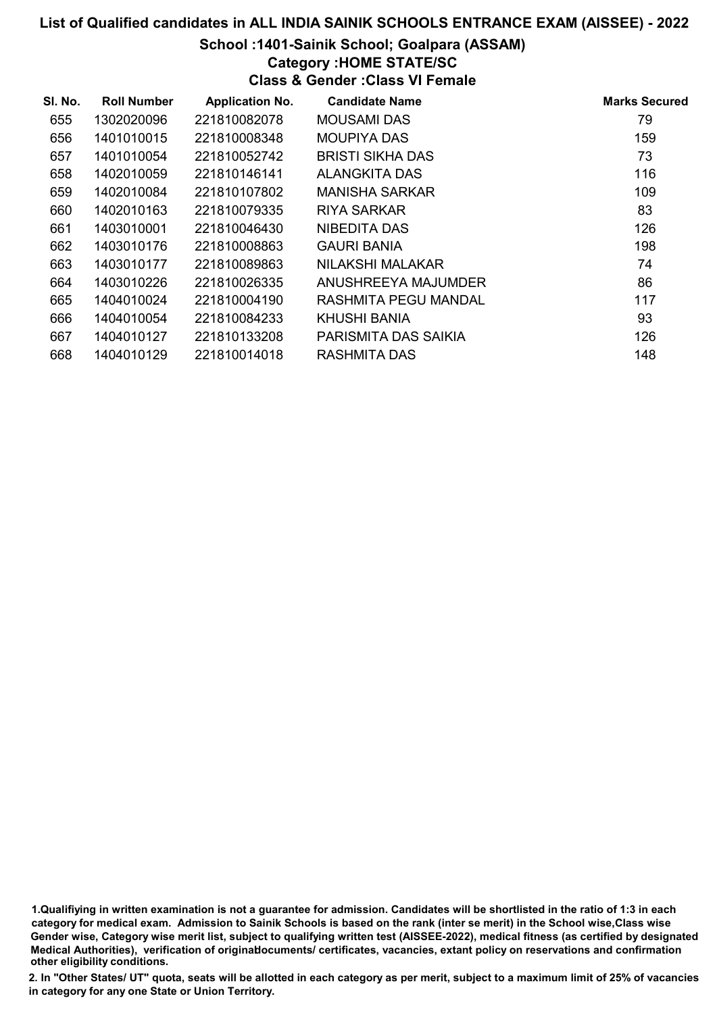### School :1401-Sainik School; Goalpara (ASSAM)

### Category :HOME STATE/SC

Class & Gender :Class VI Female

| SI. No. | <b>Roll Number</b> | <b>Application No.</b> | <b>Candidate Name</b>       | <b>Marks Secured</b> |
|---------|--------------------|------------------------|-----------------------------|----------------------|
| 655     | 1302020096         | 221810082078           | <b>MOUSAMI DAS</b>          | 79                   |
| 656     | 1401010015         | 221810008348           | <b>MOUPIYA DAS</b>          | 159                  |
| 657     | 1401010054         | 221810052742           | <b>BRISTI SIKHA DAS</b>     | 73                   |
| 658     | 1402010059         | 221810146141           | <b>ALANGKITA DAS</b>        | 116                  |
| 659     | 1402010084         | 221810107802           | <b>MANISHA SARKAR</b>       | 109                  |
| 660     | 1402010163         | 221810079335           | RIYA SARKAR                 | 83                   |
| 661     | 1403010001         | 221810046430           | NIBEDITA DAS                | 126                  |
| 662     | 1403010176         | 221810008863           | <b>GAURI BANIA</b>          | 198                  |
| 663     | 1403010177         | 221810089863           | NILAKSHI MALAKAR            | 74                   |
| 664     | 1403010226         | 221810026335           | ANUSHREEYA MAJUMDER         | 86                   |
| 665     | 1404010024         | 221810004190           | <b>RASHMITA PEGU MANDAL</b> | 117                  |
| 666     | 1404010054         | 221810084233           | KHUSHI BANIA                | 93                   |
| 667     | 1404010127         | 221810133208           | PARISMITA DAS SAIKIA        | 126                  |
| 668     | 1404010129         | 221810014018           | <b>RASHMITA DAS</b>         | 148                  |

1.Qualifiying in written examination is not a guarantee for admission. Candidates will be shortlisted in the ratio of 1:3 in each category for medical exam. Admission to Sainik Schools is based on the rank (inter se merit) in the School wise,Class wise Gender wise, Category wise merit list, subject to qualifying written test (AISSEE-2022), medical fitness (as certified by designated Medical Authorities), verification of originablocuments/ certificates, vacancies, extant policy on reservations and confirmation other eligibility conditions.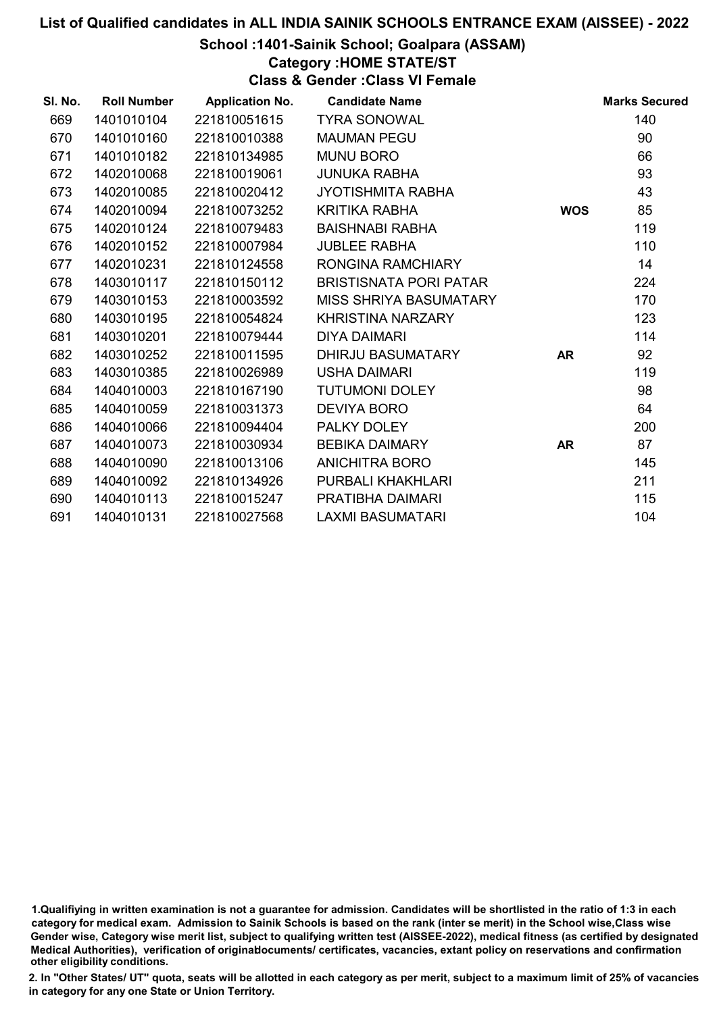#### School :1401-Sainik School; Goalpara (ASSAM)

Category :HOME STATE/ST

Class & Gender :Class VI Female

| SI. No. | <b>Roll Number</b> | <b>Application No.</b> | <b>Candidate Name</b>         |            | <b>Marks Secured</b> |
|---------|--------------------|------------------------|-------------------------------|------------|----------------------|
| 669     | 1401010104         | 221810051615           | <b>TYRA SONOWAL</b>           |            | 140                  |
| 670     | 1401010160         | 221810010388           | <b>MAUMAN PEGU</b>            |            | 90                   |
| 671     | 1401010182         | 221810134985           | <b>MUNU BORO</b>              |            | 66                   |
| 672     | 1402010068         | 221810019061           | <b>JUNUKA RABHA</b>           |            | 93                   |
| 673     | 1402010085         | 221810020412           | <b>JYOTISHMITA RABHA</b>      |            | 43                   |
| 674     | 1402010094         | 221810073252           | <b>KRITIKA RABHA</b>          | <b>WOS</b> | 85                   |
| 675     | 1402010124         | 221810079483           | <b>BAISHNABI RABHA</b>        |            | 119                  |
| 676     | 1402010152         | 221810007984           | <b>JUBLEE RABHA</b>           |            | 110                  |
| 677     | 1402010231         | 221810124558           | RONGINA RAMCHIARY             |            | 14                   |
| 678     | 1403010117         | 221810150112           | <b>BRISTISNATA PORI PATAR</b> |            | 224                  |
| 679     | 1403010153         | 221810003592           | MISS SHRIYA BASUMATARY        |            | 170                  |
| 680     | 1403010195         | 221810054824           | KHRISTINA NARZARY             |            | 123                  |
| 681     | 1403010201         | 221810079444           | <b>DIYA DAIMARI</b>           |            | 114                  |
| 682     | 1403010252         | 221810011595           | DHIRJU BASUMATARY             | <b>AR</b>  | 92                   |
| 683     | 1403010385         | 221810026989           | <b>USHA DAIMARI</b>           |            | 119                  |
| 684     | 1404010003         | 221810167190           | <b>TUTUMONI DOLEY</b>         |            | 98                   |
| 685     | 1404010059         | 221810031373           | <b>DEVIYA BORO</b>            |            | 64                   |
| 686     | 1404010066         | 221810094404           | PALKY DOLEY                   |            | 200                  |
| 687     | 1404010073         | 221810030934           | <b>BEBIKA DAIMARY</b>         | <b>AR</b>  | 87                   |
| 688     | 1404010090         | 221810013106           | <b>ANICHITRA BORO</b>         |            | 145                  |
| 689     | 1404010092         | 221810134926           | PURBALI KHAKHLARI             |            | 211                  |
| 690     | 1404010113         | 221810015247           | PRATIBHA DAIMARI              |            | 115                  |
| 691     | 1404010131         | 221810027568           | <b>LAXMI BASUMATARI</b>       |            | 104                  |

<sup>1.</sup>Qualifiying in written examination is not a guarantee for admission. Candidates will be shortlisted in the ratio of 1:3 in each category for medical exam. Admission to Sainik Schools is based on the rank (inter se merit) in the School wise,Class wise Gender wise, Category wise merit list, subject to qualifying written test (AISSEE-2022), medical fitness (as certified by designated Medical Authorities), verification of originablocuments/ certificates, vacancies, extant policy on reservations and confirmation other eligibility conditions.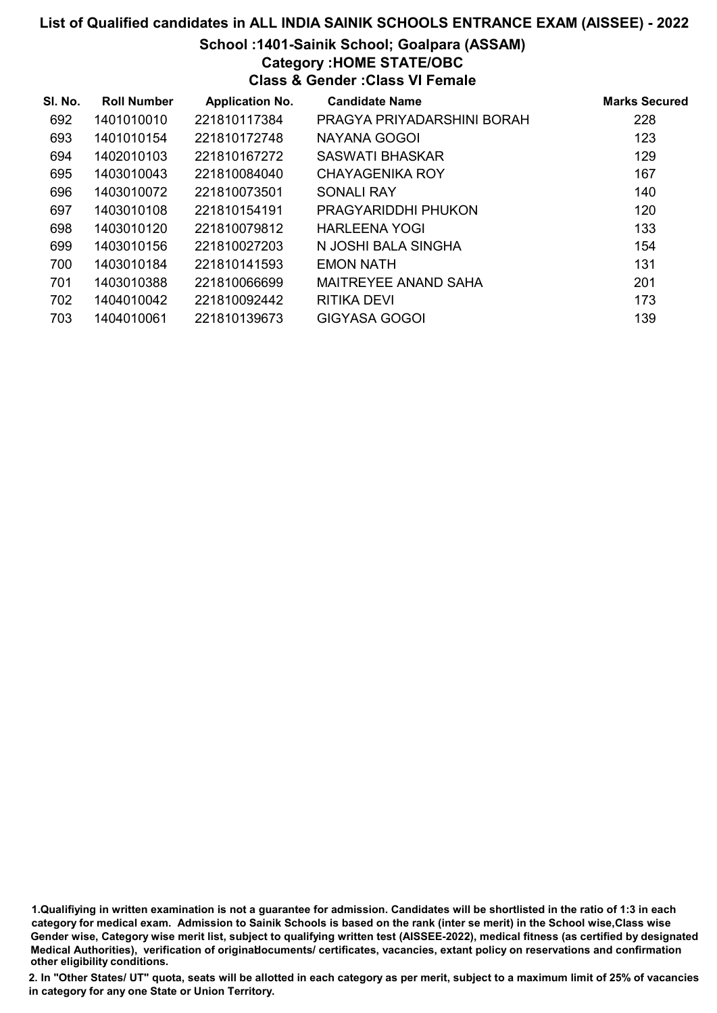## School :1401-Sainik School; Goalpara (ASSAM)

Category :HOME STATE/OBC

Class & Gender :Class VI Female

| SI. No. | <b>Roll Number</b> | <b>Application No.</b> | <b>Candidate Name</b>       | <b>Marks Secured</b> |
|---------|--------------------|------------------------|-----------------------------|----------------------|
| 692     | 1401010010         | 221810117384           | PRAGYA PRIYADARSHINI BORAH  | 228                  |
| 693     | 1401010154         | 221810172748           | NAYANA GOGOI                | 123                  |
| 694     | 1402010103         | 221810167272           | SASWATI BHASKAR             | 129                  |
| 695     | 1403010043         | 221810084040           | <b>CHAYAGENIKA ROY</b>      | 167                  |
| 696     | 1403010072         | 221810073501           | SONALI RAY                  | 140                  |
| 697     | 1403010108         | 221810154191           | PRAGYARIDDHI PHUKON         | 120                  |
| 698     | 1403010120         | 221810079812           | HARLEENA YOGI               | 133                  |
| 699     | 1403010156         | 221810027203           | N JOSHI BALA SINGHA         | 154                  |
| 700     | 1403010184         | 221810141593           | <b>EMON NATH</b>            | 131                  |
| 701     | 1403010388         | 221810066699           | <b>MAITREYEE ANAND SAHA</b> | 201                  |
| 702     | 1404010042         | 221810092442           | RITIKA DEVI                 | 173                  |
| 703     | 1404010061         | 221810139673           | <b>GIGYASA GOGOI</b>        | 139                  |

1.Qualifiying in written examination is not a guarantee for admission. Candidates will be shortlisted in the ratio of 1:3 in each category for medical exam. Admission to Sainik Schools is based on the rank (inter se merit) in the School wise,Class wise Gender wise, Category wise merit list, subject to qualifying written test (AISSEE-2022), medical fitness (as certified by designated Medical Authorities), verification of originablocuments/ certificates, vacancies, extant policy on reservations and confirmation other eligibility conditions.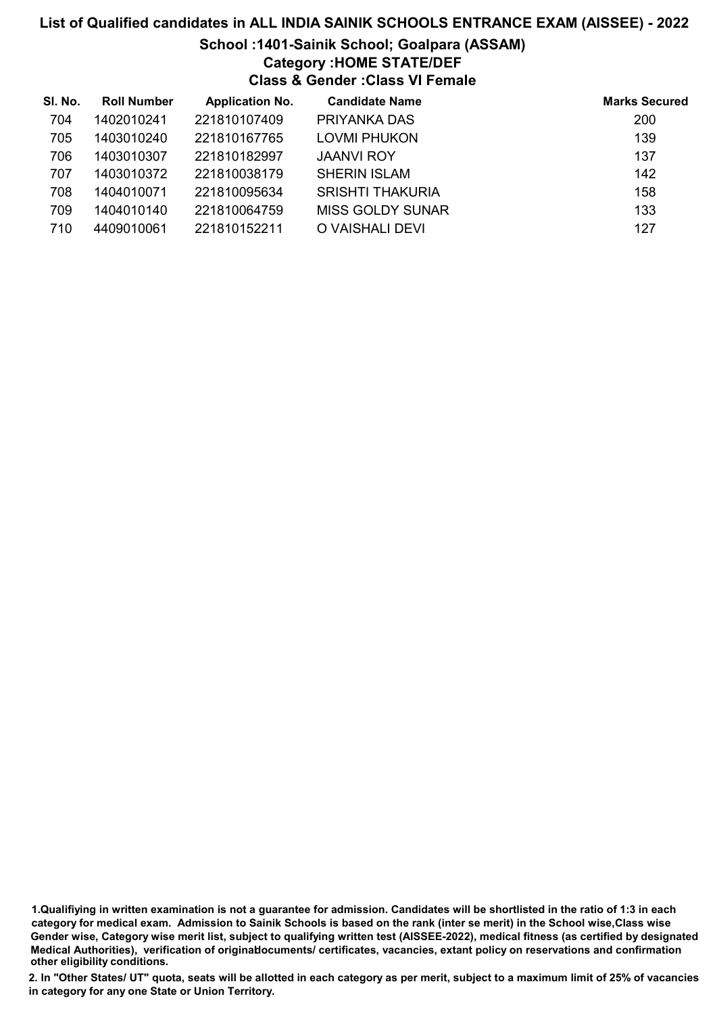# School :1401-Sainik School; Goalpara (ASSAM) Category :HOME STATE/DEF

Class & Gender :Class VI Female

| SI. No. | <b>Roll Number</b> | <b>Application No.</b> | <b>Candidate Name</b>   | <b>Marks Secured</b> |
|---------|--------------------|------------------------|-------------------------|----------------------|
| 704     | 1402010241         | 221810107409           | PRIYANKA DAS            | 200                  |
| 705     | 1403010240         | 221810167765           | <b>LOVMI PHUKON</b>     | 139                  |
| 706     | 1403010307         | 221810182997           | <b>JAANVI ROY</b>       | 137                  |
| 707     | 1403010372         | 221810038179           | <b>SHERIN ISLAM</b>     | 142                  |
| 708     | 1404010071         | 221810095634           | <b>SRISHTI THAKURIA</b> | 158                  |
| 709     | 1404010140         | 221810064759           | <b>MISS GOLDY SUNAR</b> | 133                  |
| 710     | 4409010061         | 221810152211           | O VAISHALI DEVI         | 127                  |

1.Qualifiying in written examination is not a guarantee for admission. Candidates will be shortlisted in the ratio of 1:3 in each category for medical exam. Admission to Sainik Schools is based on the rank (inter se merit) in the School wise,Class wise Gender wise, Category wise merit list, subject to qualifying written test (AISSEE-2022), medical fitness (as certified by designated Medical Authorities), verification of originablocuments/ certificates, vacancies, extant policy on reservations and confirmation other eligibility conditions.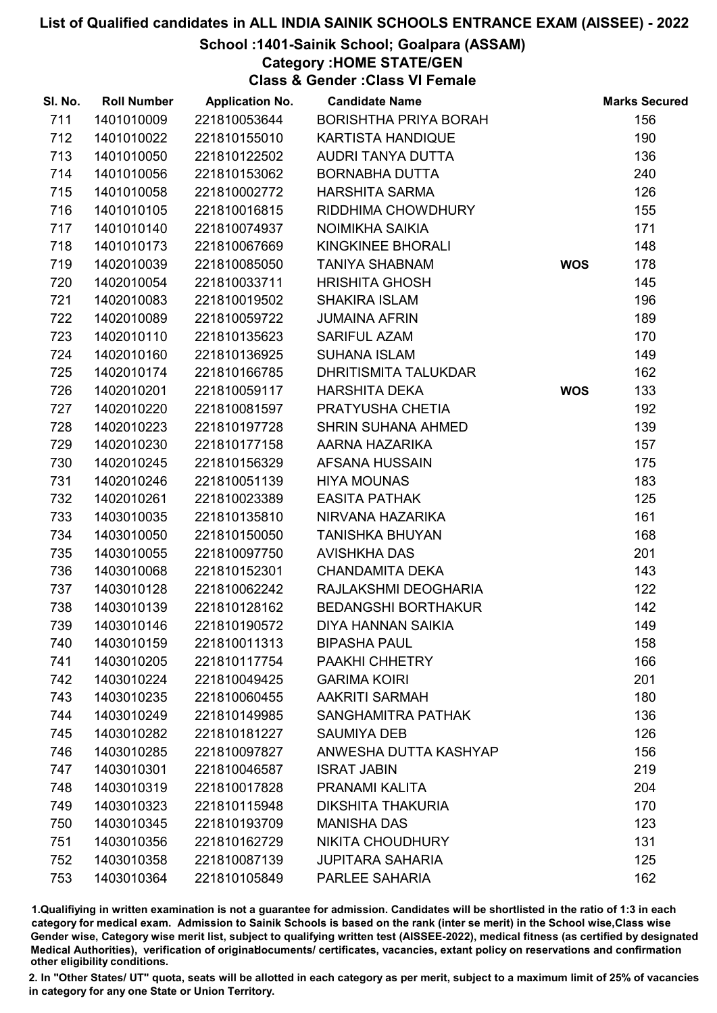### School :1401-Sainik School; Goalpara (ASSAM)

Category :HOME STATE/GEN

Class & Gender :Class VI Female

| SI. No. | <b>Roll Number</b> | <b>Application No.</b> | <b>Candidate Name</b>        |            | <b>Marks Secured</b> |
|---------|--------------------|------------------------|------------------------------|------------|----------------------|
| 711     | 1401010009         | 221810053644           | <b>BORISHTHA PRIYA BORAH</b> |            | 156                  |
| 712     | 1401010022         | 221810155010           | <b>KARTISTA HANDIQUE</b>     |            | 190                  |
| 713     | 1401010050         | 221810122502           | AUDRI TANYA DUTTA            |            | 136                  |
| 714     | 1401010056         | 221810153062           | <b>BORNABHA DUTTA</b>        |            | 240                  |
| 715     | 1401010058         | 221810002772           | <b>HARSHITA SARMA</b>        |            | 126                  |
| 716     | 1401010105         | 221810016815           | RIDDHIMA CHOWDHURY           |            | 155                  |
| 717     | 1401010140         | 221810074937           | NOIMIKHA SAIKIA              |            | 171                  |
| 718     | 1401010173         | 221810067669           | KINGKINEE BHORALI            |            | 148                  |
| 719     | 1402010039         | 221810085050           | <b>TANIYA SHABNAM</b>        | <b>WOS</b> | 178                  |
| 720     | 1402010054         | 221810033711           | <b>HRISHITA GHOSH</b>        |            | 145                  |
| 721     | 1402010083         | 221810019502           | <b>SHAKIRA ISLAM</b>         |            | 196                  |
| 722     | 1402010089         | 221810059722           | <b>JUMAINA AFRIN</b>         |            | 189                  |
| 723     | 1402010110         | 221810135623           | <b>SARIFUL AZAM</b>          |            | 170                  |
| 724     | 1402010160         | 221810136925           | <b>SUHANA ISLAM</b>          |            | 149                  |
| 725     | 1402010174         | 221810166785           | <b>DHRITISMITA TALUKDAR</b>  |            | 162                  |
| 726     | 1402010201         | 221810059117           | <b>HARSHITA DEKA</b>         | <b>WOS</b> | 133                  |
| 727     | 1402010220         | 221810081597           | PRATYUSHA CHETIA             |            | 192                  |
| 728     | 1402010223         | 221810197728           | <b>SHRIN SUHANA AHMED</b>    |            | 139                  |
| 729     | 1402010230         | 221810177158           | AARNA HAZARIKA               |            | 157                  |
| 730     | 1402010245         | 221810156329           | AFSANA HUSSAIN               |            | 175                  |
| 731     | 1402010246         | 221810051139           | <b>HIYA MOUNAS</b>           |            | 183                  |
| 732     | 1402010261         | 221810023389           | <b>EASITA PATHAK</b>         |            | 125                  |
| 733     | 1403010035         | 221810135810           | NIRVANA HAZARIKA             |            | 161                  |
| 734     | 1403010050         | 221810150050           | <b>TANISHKA BHUYAN</b>       |            | 168                  |
| 735     | 1403010055         | 221810097750           | <b>AVISHKHA DAS</b>          |            | 201                  |
| 736     | 1403010068         | 221810152301           | <b>CHANDAMITA DEKA</b>       |            | 143                  |
| 737     | 1403010128         | 221810062242           | RAJLAKSHMI DEOGHARIA         |            | 122                  |
| 738     | 1403010139         | 221810128162           | <b>BEDANGSHI BORTHAKUR</b>   |            | 142                  |
| 739     | 1403010146         | 221810190572           | <b>DIYA HANNAN SAIKIA</b>    |            | 149                  |
| 740     | 1403010159         | 221810011313           | <b>BIPASHA PAUL</b>          |            | 158                  |
| 741     | 1403010205         | 221810117754           | PAAKHI CHHETRY               |            | 166                  |
| 742     | 1403010224         | 221810049425           | <b>GARIMA KOIRI</b>          |            | 201                  |
| 743     | 1403010235         | 221810060455           | <b>AAKRITI SARMAH</b>        |            | 180                  |
| 744     | 1403010249         | 221810149985           | SANGHAMITRA PATHAK           |            | 136                  |
| 745     | 1403010282         | 221810181227           | <b>SAUMIYA DEB</b>           |            | 126                  |
| 746     | 1403010285         | 221810097827           | ANWESHA DUTTA KASHYAP        |            | 156                  |
| 747     | 1403010301         | 221810046587           | <b>ISRAT JABIN</b>           |            | 219                  |
| 748     | 1403010319         | 221810017828           | PRANAMI KALITA               |            | 204                  |
| 749     | 1403010323         | 221810115948           | <b>DIKSHITA THAKURIA</b>     |            | 170                  |
| 750     | 1403010345         | 221810193709           | <b>MANISHA DAS</b>           |            | 123                  |
| 751     | 1403010356         | 221810162729           | <b>NIKITA CHOUDHURY</b>      |            | 131                  |
| 752     | 1403010358         | 221810087139           | <b>JUPITARA SAHARIA</b>      |            | 125                  |
| 753     | 1403010364         | 221810105849           | PARLEE SAHARIA               |            | 162                  |

1.Qualifiying in written examination is not a guarantee for admission. Candidates will be shortlisted in the ratio of 1:3 in each category for medical exam. Admission to Sainik Schools is based on the rank (inter se merit) in the School wise,Class wise Gender wise, Category wise merit list, subject to qualifying written test (AISSEE-2022), medical fitness (as certified by designated Medical Authorities), verification of originablocuments/ certificates, vacancies, extant policy on reservations and confirmation other eligibility conditions.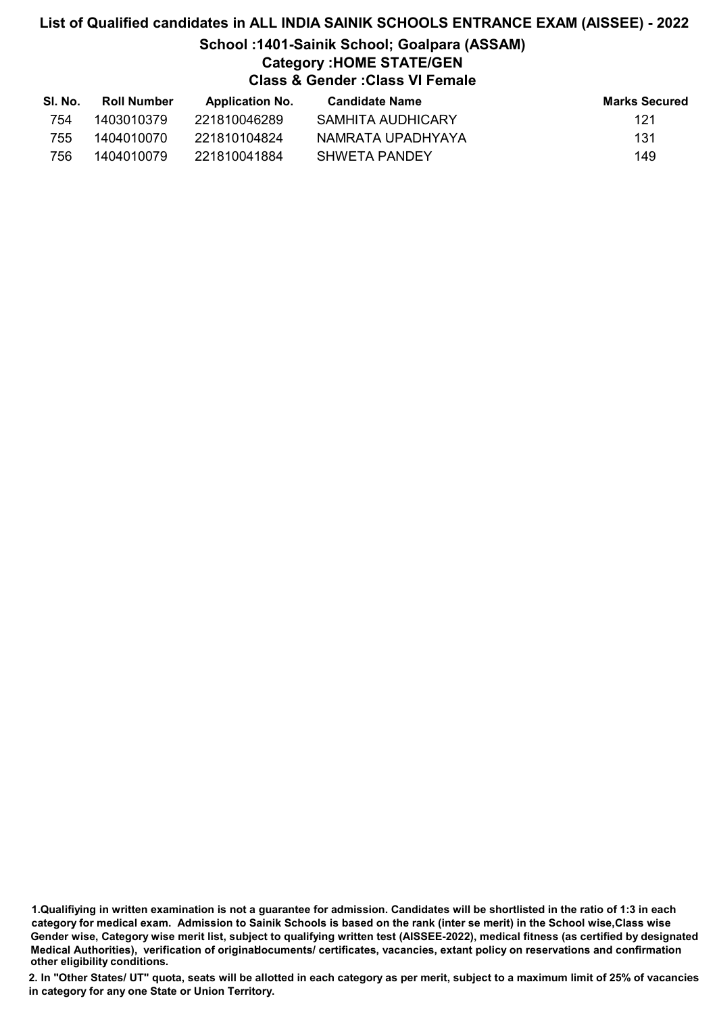### School :1401-Sainik School; Goalpara (ASSAM) Category :HOME STATE/GEN Class & Gender :Class VI Female

| SI. No. | <b>Roll Number</b> | <b>Application No.</b> | Candidate Name    | <b>Marks Secured</b> |
|---------|--------------------|------------------------|-------------------|----------------------|
| 754     | 1403010379         | 221810046289           | SAMHITA AUDHICARY | 121                  |
| 755     | 1404010070         | 221810104824           | NAMRATA UPADHYAYA | -131                 |
| 756     | 1404010079         | 221810041884           | SHWETA PANDFY     | 149                  |

1.Qualifiying in written examination is not a guarantee for admission. Candidates will be shortlisted in the ratio of 1:3 in each category for medical exam. Admission to Sainik Schools is based on the rank (inter se merit) in the School wise,Class wise Gender wise, Category wise merit list, subject to qualifying written test (AISSEE-2022), medical fitness (as certified by designated Medical Authorities), verification of originablocuments/ certificates, vacancies, extant policy on reservations and confirmation other eligibility conditions.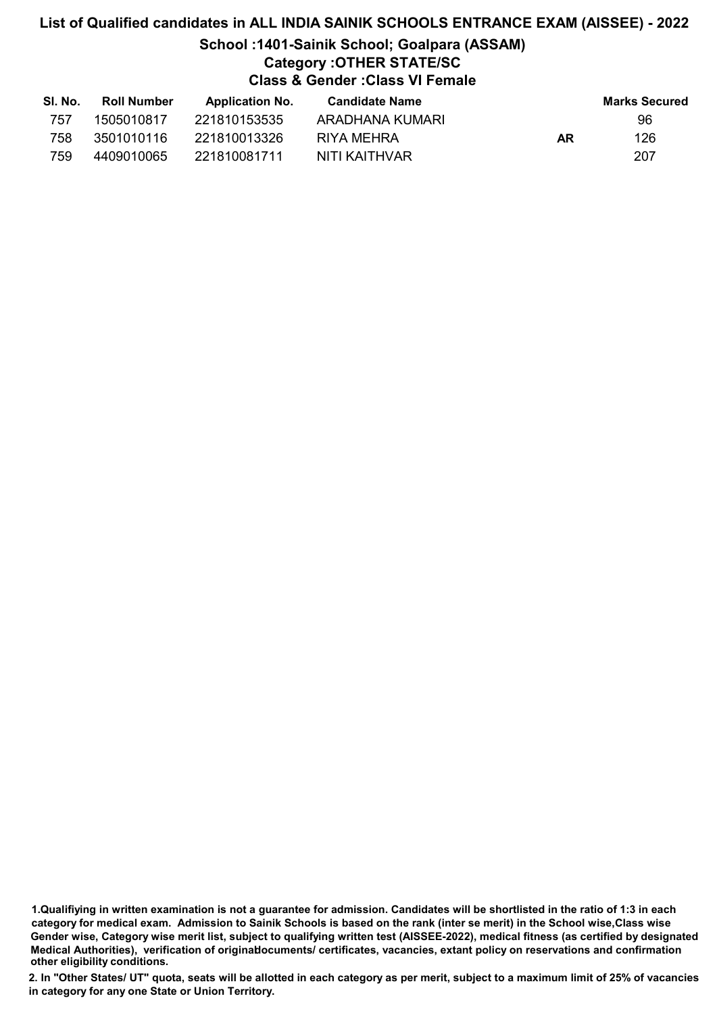### School :1401-Sainik School; Goalpara (ASSAM) Category :OTHER STATE/SC

Class & Gender :Class VI Female

| SI. No. | Roll Number | <b>Application No.</b> | <b>Candidate Name</b> |    | <b>Marks Secured</b> |
|---------|-------------|------------------------|-----------------------|----|----------------------|
| 757     | 1505010817  | 221810153535           | ARADHANA KUMARI       |    | 96                   |
| 758     | 3501010116  | 221810013326           | RIYA MEHRA            | AR | 126                  |
| 759     | 4409010065  | 221810081711           | NITI KAITHVAR         |    | 207                  |

1.Qualifiying in written examination is not a guarantee for admission. Candidates will be shortlisted in the ratio of 1:3 in each category for medical exam. Admission to Sainik Schools is based on the rank (inter se merit) in the School wise,Class wise Gender wise, Category wise merit list, subject to qualifying written test (AISSEE-2022), medical fitness (as certified by designated Medical Authorities), verification of originablocuments/ certificates, vacancies, extant policy on reservations and confirmation other eligibility conditions.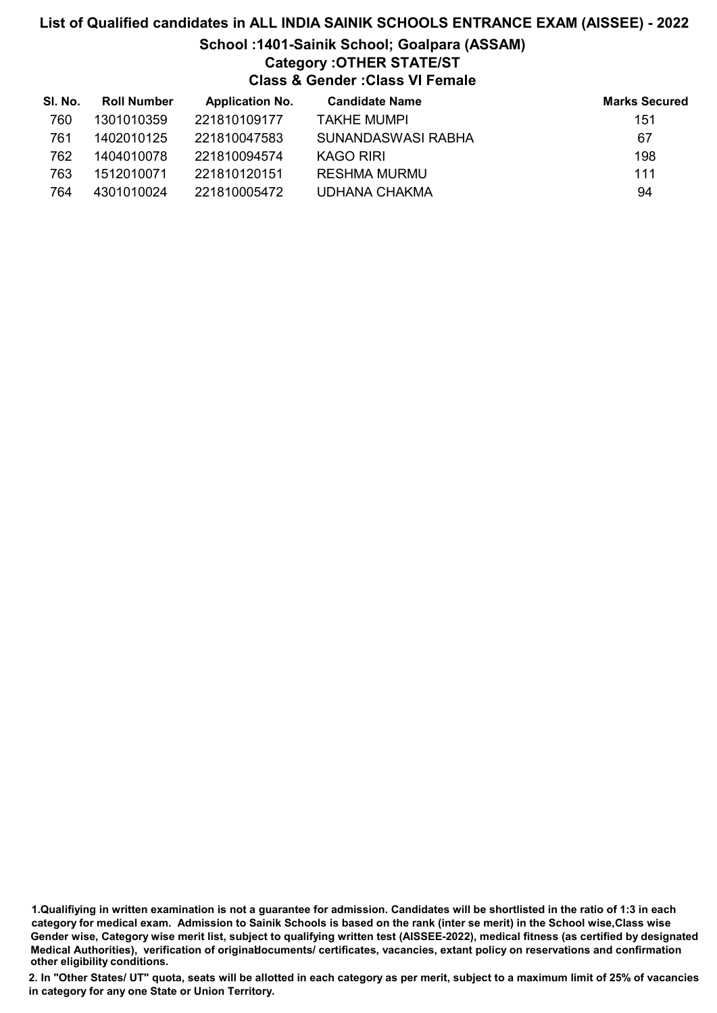### School :1401-Sainik School; Goalpara (ASSAM) Category :OTHER STATE/ST

Class & Gender :Class VI Female

| SI. No. | <b>Roll Number</b> | <b>Application No.</b> | <b>Candidate Name</b> | <b>Marks Secured</b> |
|---------|--------------------|------------------------|-----------------------|----------------------|
| 760     | 1301010359         | 221810109177           | <b>TAKHE MUMPI</b>    | 151                  |
| 761     | 1402010125         | 221810047583           | SUNANDASWASI RABHA    | 67                   |
| 762     | 1404010078         | 221810094574           | KAGO RIRI             | 198                  |
| 763     | 1512010071         | 221810120151           | <b>RESHMA MURMU</b>   | 111                  |
| 764     | 4301010024         | 221810005472           | <b>UDHANA CHAKMA</b>  | 94                   |

1.Qualifiying in written examination is not a guarantee for admission. Candidates will be shortlisted in the ratio of 1:3 in each category for medical exam. Admission to Sainik Schools is based on the rank (inter se merit) in the School wise,Class wise Gender wise, Category wise merit list, subject to qualifying written test (AISSEE-2022), medical fitness (as certified by designated Medical Authorities), verification of originablocuments/ certificates, vacancies, extant policy on reservations and confirmation other eligibility conditions.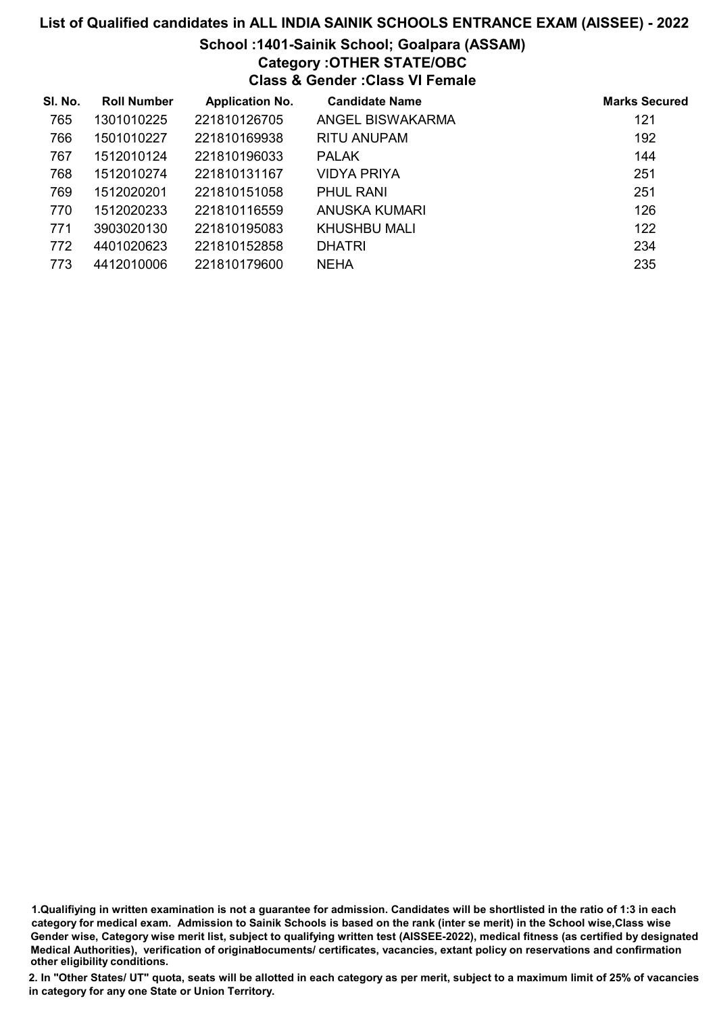### School :1401-Sainik School; Goalpara (ASSAM) Category :OTHER STATE/OBC

Class & Gender :Class VI Female

| SI. No. | <b>Roll Number</b> | <b>Application No.</b> | <b>Candidate Name</b> | <b>Marks Secured</b> |
|---------|--------------------|------------------------|-----------------------|----------------------|
| 765     | 1301010225         | 221810126705           | ANGEL BISWAKARMA      | 121                  |
| 766     | 1501010227         | 221810169938           | <b>RITU ANUPAM</b>    | 192                  |
| 767     | 1512010124         | 221810196033           | <b>PALAK</b>          | 144                  |
| 768     | 1512010274         | 221810131167           | VIDYA PRIYA           | 251                  |
| 769     | 1512020201         | 221810151058           | <b>PHUL RANI</b>      | 251                  |
| 770     | 1512020233         | 221810116559           | ANUSKA KUMARI         | 126                  |
| 771     | 3903020130         | 221810195083           | KHUSHBU MALI          | 122                  |
| 772     | 4401020623         | 221810152858           | <b>DHATRI</b>         | 234                  |
| 773     | 4412010006         | 221810179600           | NEHA                  | 235                  |

1.Qualifiying in written examination is not a guarantee for admission. Candidates will be shortlisted in the ratio of 1:3 in each category for medical exam. Admission to Sainik Schools is based on the rank (inter se merit) in the School wise,Class wise Gender wise, Category wise merit list, subject to qualifying written test (AISSEE-2022), medical fitness (as certified by designated Medical Authorities), verification of originablocuments/ certificates, vacancies, extant policy on reservations and confirmation other eligibility conditions.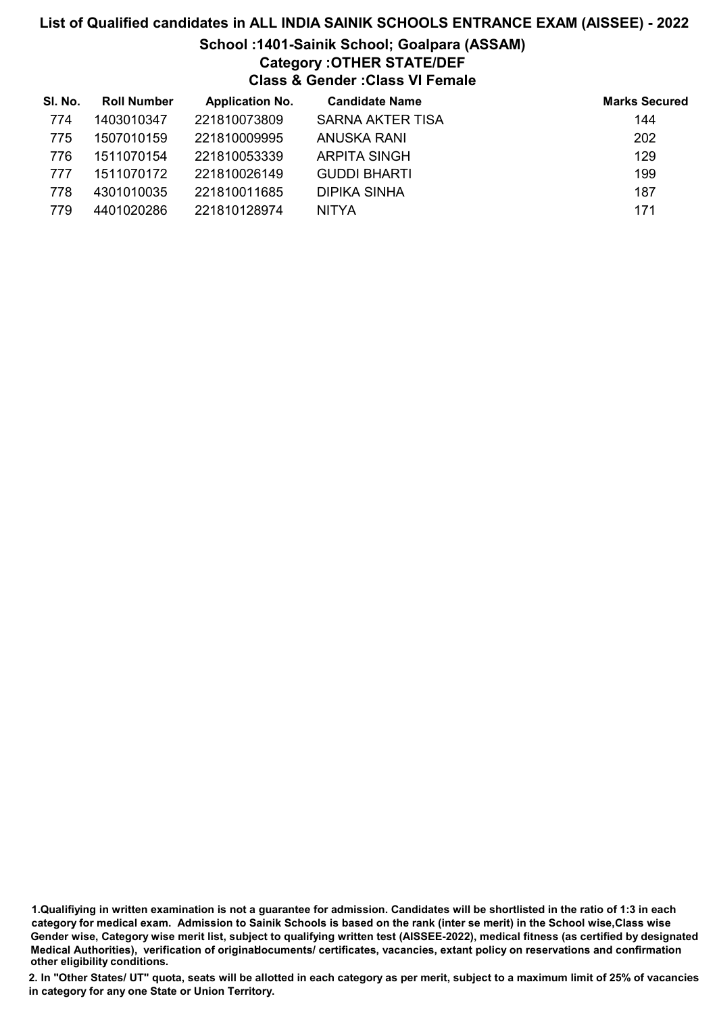# School :1401-Sainik School; Goalpara (ASSAM) Category :OTHER STATE/DEF

Class & Gender :Class VI Female

| SI. No. | <b>Roll Number</b> | <b>Application No.</b> | <b>Candidate Name</b> | <b>Marks Secured</b> |
|---------|--------------------|------------------------|-----------------------|----------------------|
| 774     | 1403010347         | 221810073809           | SARNA AKTER TISA      | 144                  |
| 775     | 1507010159         | 221810009995           | ANUSKA RANI           | 202                  |
| 776     | 1511070154         | 221810053339           | <b>ARPITA SINGH</b>   | 129                  |
| 777     | 1511070172         | 221810026149           | <b>GUDDI BHARTI</b>   | 199                  |
| 778     | 4301010035         | 221810011685           | <b>DIPIKA SINHA</b>   | 187                  |
| 779     | 4401020286         | 221810128974           | <b>NITYA</b>          | 171                  |

1.Qualifiying in written examination is not a guarantee for admission. Candidates will be shortlisted in the ratio of 1:3 in each category for medical exam. Admission to Sainik Schools is based on the rank (inter se merit) in the School wise,Class wise Gender wise, Category wise merit list, subject to qualifying written test (AISSEE-2022), medical fitness (as certified by designated Medical Authorities), verification of originablocuments/ certificates, vacancies, extant policy on reservations and confirmation other eligibility conditions.